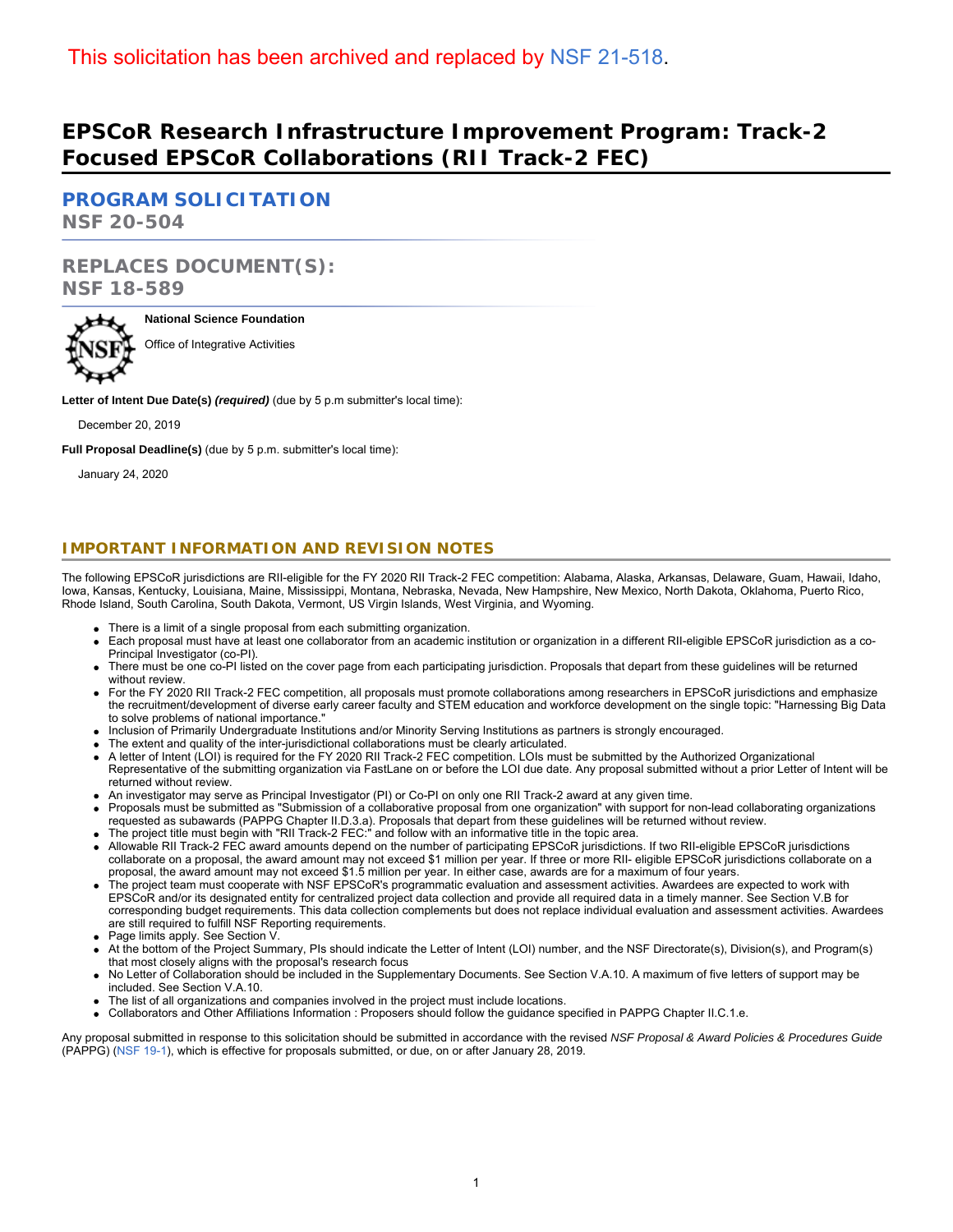# **EPSCoR Research Infrastructure Improvement Program: Track-2 Focused EPSCoR Collaborations (RII Track-2 FEC)**

**[PROGRAM SOLICITATION](#page-3-0) NSF 20-504**

**REPLACES DOCUMENT(S): NSF 18-589**



# **National Science Foundation**

Office of Integrative Activities

**Letter of Intent Due Date(s)** *(required)* (due by 5 p.m submitter's local time):

December 20, 2019

**Full Proposal Deadline(s)** (due by 5 p.m. submitter's local time):

January 24, 2020

# **IMPORTANT INFORMATION AND REVISION NOTES**

The following EPSCoR jurisdictions are RII-eligible for the FY 2020 RII Track-2 FEC competition: Alabama, Alaska, Arkansas, Delaware, Guam, Hawaii, Idaho, Iowa, Kansas, Kentucky, Louisiana, Maine, Mississippi, Montana, Nebraska, Nevada, New Hampshire, New Mexico, North Dakota, Oklahoma, Puerto Rico, Rhode Island, South Carolina, South Dakota, Vermont, US Virgin Islands, West Virginia, and Wyoming.

- There is a limit of a single proposal from each submitting organization.
- Each proposal must have at least one collaborator from an academic institution or organization in a different RII-eligible EPSCoR jurisdiction as a co-Principal Investigator (co-PI).
- There must be one co-PI listed on the cover page from each participating jurisdiction. Proposals that depart from these guidelines will be returned without review.
- For the FY 2020 RII Track-2 FEC competition, all proposals must promote collaborations among researchers in EPSCoR jurisdictions and emphasize the recruitment/development of diverse early career faculty and STEM education and workforce development on the single topic: "Harnessing Big Data to solve problems of national importance."
- Inclusion of Primarily Undergraduate Institutions and/or Minority Serving Institutions as partners is strongly encouraged.
- The extent and quality of the inter-jurisdictional collaborations must be clearly articulated.
- A letter of Intent (LOI) is required for the FY 2020 RII Track-2 FEC competition. LOIs must be submitted by the Authorized Organizational Representative of the submitting organization via FastLane on or before the LOI due date. Any proposal submitted without a prior Letter of Intent will be returned without review.
- An investigator may serve as Principal Investigator (PI) or Co-PI on only one RII Track-2 award at any given time.
- Proposals must be submitted as "Submission of a collaborative proposal from one organization" with support for non-lead collaborating organizations requested as subawards (PAPPG Chapter II.D.3.a). Proposals that depart from these guidelines will be returned without review.
- The project title must begin with "RII Track-2 FEC:" and follow with an informative title in the topic area.
- Allowable RII Track-2 FEC award amounts depend on the number of participating EPSCoR jurisdictions. If two RII-eligible EPSCoR jurisdictions collaborate on a proposal, the award amount may not exceed \$1 million per year. If three or more RII- eligible EPSCoR jurisdictions collaborate on a proposal, the award amount may not exceed \$1.5 million per year. In either case, awards are for a maximum of four years.
- The project team must cooperate with NSF EPSCoR's programmatic evaluation and assessment activities. Awardees are expected to work with EPSCoR and/or its designated entity for centralized project data collection and provide all required data in a timely manner. See Section V.B for corresponding budget requirements. This data collection complements but does not replace individual evaluation and assessment activities. Awardees are still required to fulfill NSF Reporting requirements.
- Page limits apply. See Section V.
- At the bottom of the Project Summary, PIs should indicate the Letter of Intent (LOI) number, and the NSF Directorate(s), Division(s), and Program(s) that most closely aligns with the proposal's research focus
- No Letter of Collaboration should be included in the Supplementary Documents. See Section V.A.10. A maximum of five letters of support may be included. See Section V.A.10.
- The list of all organizations and companies involved in the project must include locations.
- Collaborators and Other Affiliations Information : Proposers should follow the guidance specified in PAPPG Chapter II.C.1.e.

Any proposal submitted in response to this solicitation should be submitted in accordance with the revised *NSF Proposal & Award Policies & Procedures Guide* (PAPPG) [\(NSF 19-1](https://www.nsf.gov/publications/pub_summ.jsp?ods_key=nsf19001)), which is effective for proposals submitted, or due, on or after January 28, 2019.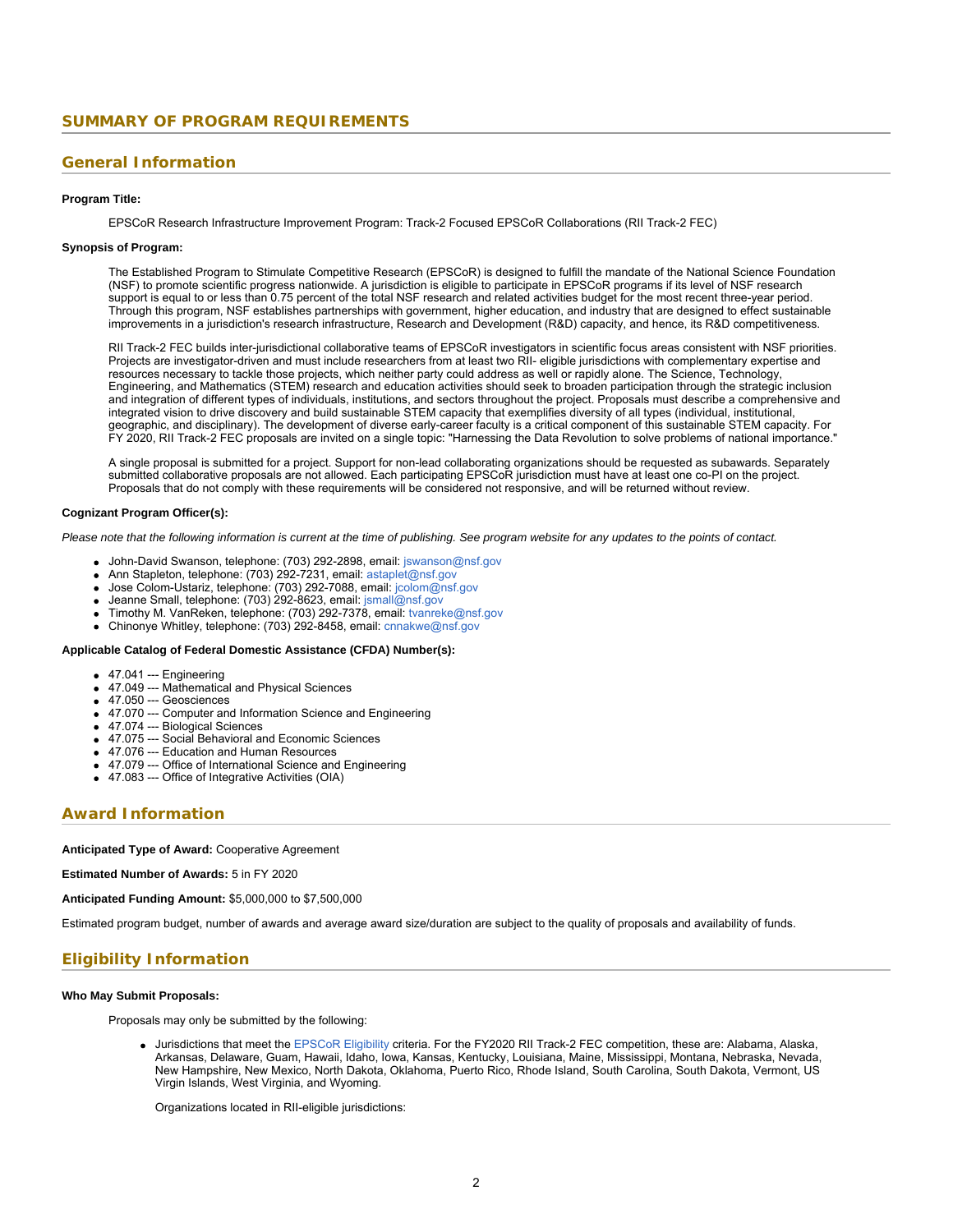# <span id="page-1-0"></span>**General Information**

### **Program Title:**

EPSCoR Research Infrastructure Improvement Program: Track-2 Focused EPSCoR Collaborations (RII Track-2 FEC)

# **Synopsis of Program:**

The Established Program to Stimulate Competitive Research (EPSCoR) is designed to fulfill the mandate of the National Science Foundation (NSF) to promote scientific progress nationwide. A jurisdiction is eligible to participate in EPSCoR programs if its level of NSF research support is equal to or less than 0.75 percent of the total NSF research and related activities budget for the most recent three-year period. Through this program, NSF establishes partnerships with government, higher education, and industry that are designed to effect sustainable improvements in a jurisdiction's research infrastructure, Research and Development (R&D) capacity, and hence, its R&D competitiveness.

RII Track-2 FEC builds inter-jurisdictional collaborative teams of EPSCoR investigators in scientific focus areas consistent with NSF priorities. Projects are investigator-driven and must include researchers from at least two RII- eligible jurisdictions with complementary expertise and resources necessary to tackle those projects, which neither party could address as well or rapidly alone. The Science, Technology, Engineering, and Mathematics (STEM) research and education activities should seek to broaden participation through the strategic inclusion and integration of different types of individuals, institutions, and sectors throughout the project. Proposals must describe a comprehensive and integrated vision to drive discovery and build sustainable STEM capacity that exemplifies diversity of all types (individual, institutional, geographic, and disciplinary). The development of diverse early-career faculty is a critical component of this sustainable STEM capacity. For FY 2020, RII Track-2 FEC proposals are invited on a single topic: "Harnessing the Data Revolution to solve problems of national importance."

A single proposal is submitted for a project. Support for non-lead collaborating organizations should be requested as subawards. Separately submitted collaborative proposals are not allowed. Each participating EPSCoR jurisdiction must have at least one co-PI on the project. Proposals that do not comply with these requirements will be considered not responsive, and will be returned without review.

### **Cognizant Program Officer(s):**

*Please note that the following information is current at the time of publishing. See program website for any updates to the points of contact.*

- John-David Swanson, telephone: (703) 292-2898, email: [jswanson@nsf.gov](mailto:jswanson@nsf.gov)
- Ann Stapleton, telephone: (703) 292-7231, email: [astaplet@nsf.gov](mailto:astaplet@nsf.gov)
- Jose Colom-Ustariz, telephone: (703) 292-7088, email: [jcolom@nsf.gov](mailto:jcolom@nsf.gov)
- Jeanne Small, telephone: (703) 292-8623, email: [jsmall@nsf.gov](mailto:jsmall@nsf.gov)
- Timothy M. VanReken, telephone: (703) 292-7378, email: [tvanreke@nsf.gov](mailto:tvanreke@nsf.gov)
- Chinonye Whitley, telephone: (703) 292-8458, email: [cnnakwe@nsf.gov](mailto:cnnakwe@nsf.gov)

#### **Applicable Catalog of Federal Domestic Assistance (CFDA) Number(s):**

- 47.041 --- Engineering
- 47.049 --- Mathematical and Physical Sciences
- 47.050 --- Geosciences
- 47.070 --- Computer and Information Science and Engineering
- 47.074 --- Biological Sciences
- 47.075 --- Social Behavioral and Economic Sciences
- 47.076 --- Education and Human Resources
- 47.079 --- Office of International Science and Engineering
- 47.083 --- Office of Integrative Activities (OIA)

# **Award Information**

**Anticipated Type of Award:** Cooperative Agreement

**Estimated Number of Awards:** 5 in FY 2020

**Anticipated Funding Amount:** \$5,000,000 to \$7,500,000

Estimated program budget, number of awards and average award size/duration are subject to the quality of proposals and availability of funds.

# **Eligibility Information**

#### **Who May Submit Proposals:**

Proposals may only be submitted by the following:

Jurisdictions that meet the [EPSCoR Eligibility](https://www.nsf.gov/od/oia/programs/epscor/Eligibility_Tables/FY2017_Eligibility.pdf) criteria. For the FY2020 RII Track-2 FEC competition, these are: Alabama, Alaska, Arkansas, Delaware, Guam, Hawaii, Idaho, Iowa, Kansas, Kentucky, Louisiana, Maine, Mississippi, Montana, Nebraska, Nevada, New Hampshire, New Mexico, North Dakota, Oklahoma, Puerto Rico, Rhode Island, South Carolina, South Dakota, Vermont, US Virgin Islands, West Virginia, and Wyoming.

Organizations located in RII-eligible jurisdictions: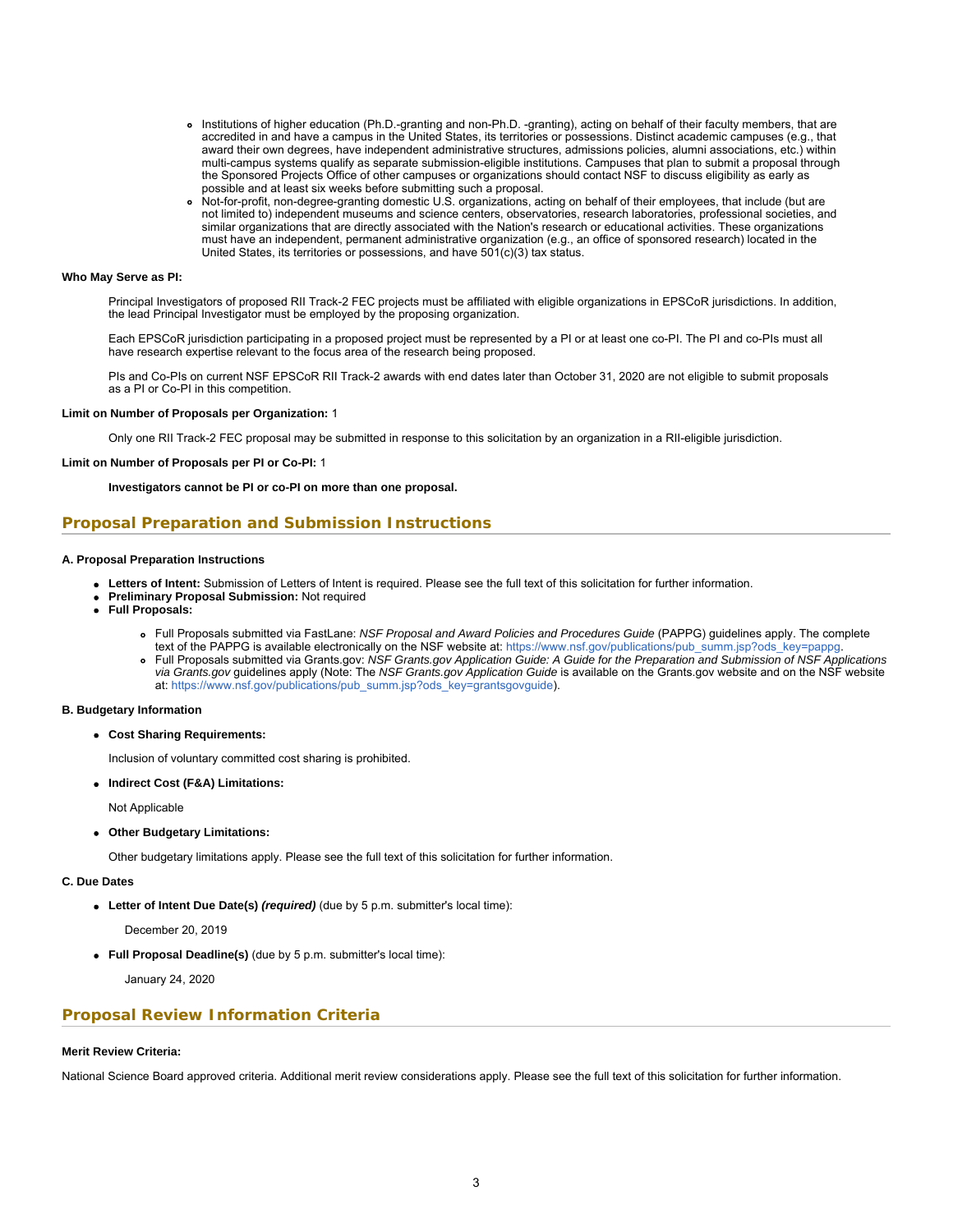- Institutions of higher education (Ph.D.-granting and non-Ph.D. -granting), acting on behalf of their faculty members, that are accredited in and have a campus in the United States, its territories or possessions. Distinct academic campuses (e.g., that award their own degrees, have independent administrative structures, admissions policies, alumni associations, etc.) within multi-campus systems qualify as separate submission-eligible institutions. Campuses that plan to submit a proposal through the Sponsored Projects Office of other campuses or organizations should contact NSF to discuss eligibility as early as possible and at least six weeks before submitting such a proposal.
- Not-for-profit, non-degree-granting domestic U.S. organizations, acting on behalf of their employees, that include (but are not limited to) independent museums and science centers, observatories, research laboratories, professional societies, and similar organizations that are directly associated with the Nation's research or educational activities. These organizations must have an independent, permanent administrative organization (e.g., an office of sponsored research) located in the United States, its territories or possessions, and have 501(c)(3) tax status.

#### **Who May Serve as PI:**

Principal Investigators of proposed RII Track-2 FEC projects must be affiliated with eligible organizations in EPSCoR jurisdictions. In addition, the lead Principal Investigator must be employed by the proposing organization.

Each EPSCoR jurisdiction participating in a proposed project must be represented by a PI or at least one co-PI. The PI and co-PIs must all have research expertise relevant to the focus area of the research being proposed.

PIs and Co-PIs on current NSF EPSCoR RII Track-2 awards with end dates later than October 31, 2020 are not eligible to submit proposals as a PI or Co-PI in this competition.

### **Limit on Number of Proposals per Organization:** 1

Only one RII Track-2 FEC proposal may be submitted in response to this solicitation by an organization in a RII-eligible jurisdiction.

### **Limit on Number of Proposals per PI or Co-PI:** 1

**Investigators cannot be PI or co-PI on more than one proposal.**

# **Proposal Preparation and Submission Instructions**

### **A. Proposal Preparation Instructions**

- **Letters of Intent:** Submission of Letters of Intent is required. Please see the full text of this solicitation for further information.
- **Preliminary Proposal Submission:** Not required
- **Full Proposals:**
	- Full Proposals submitted via FastLane: *NSF Proposal and Award Policies and Procedures Guide* (PAPPG) guidelines apply. The complete text of the PAPPG is available electronically on the NSF website at: [https://www.nsf.gov/publications/pub\\_summ.jsp?ods\\_key=pappg](https://www.nsf.gov/publications/pub_summ.jsp?ods_key=pappg).
	- Full Proposals submitted via Grants.gov: *NSF Grants.gov Application Guide: A Guide for the Preparation and Submission of NSF Applications via Grants.gov* guidelines apply (Note: The *NSF Grants.gov Application Guide* is available on the Grants.gov website and on the NSF website at: [https://www.nsf.gov/publications/pub\\_summ.jsp?ods\\_key=grantsgovguide](https://www.nsf.gov/publications/pub_summ.jsp?ods_key=grantsgovguide)).

### **B. Budgetary Information**

**Cost Sharing Requirements:**

Inclusion of voluntary committed cost sharing is prohibited.

**Indirect Cost (F&A) Limitations:**

Not Applicable

**Other Budgetary Limitations:**

Other budgetary limitations apply. Please see the full text of this solicitation for further information.

### **C. Due Dates**

**Letter of Intent Due Date(s)** *(required)* (due by 5 p.m. submitter's local time):

December 20, 2019

**Full Proposal Deadline(s)** (due by 5 p.m. submitter's local time):

January 24, 2020

# **Proposal Review Information Criteria**

### **Merit Review Criteria:**

National Science Board approved criteria. Additional merit review considerations apply. Please see the full text of this solicitation for further information.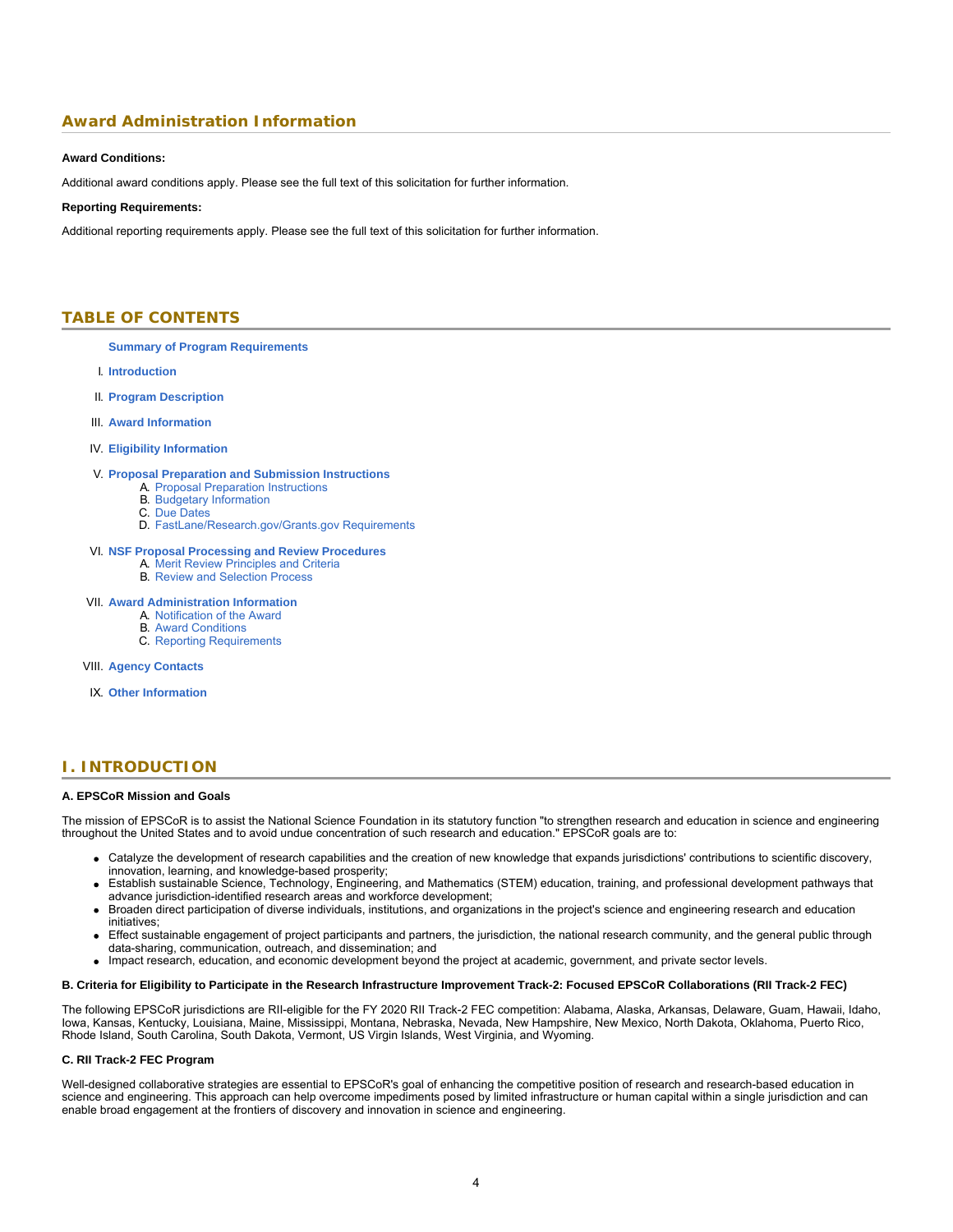# **Award Administration Information**

### **Award Conditions:**

Additional award conditions apply. Please see the full text of this solicitation for further information.

#### **Reporting Requirements:**

<span id="page-3-0"></span>Additional reporting requirements apply. Please see the full text of this solicitation for further information.

# **TABLE OF CONTENTS**

**[Summary of Program Requirements](#page-1-0)**

- I. **[Introduction](#page-3-1)**
- II. **[Program Description](#page-4-0)**
- III. **[Award Information](#page-5-0)**

#### IV. **[Eligibility Information](#page-5-1)**

#### V. **[Proposal Preparation and Submission Instructions](#page-6-0)**

- A. [Proposal Preparation Instructions](#page-6-0)
- B. [Budgetary Information](#page-8-0)
- C. [Due Dates](#page-8-1)
- D. [FastLane/Research.gov/Grants.gov Requirements](#page-9-0)

### VI. **[NSF Proposal Processing and Review Procedures](#page-9-1)**

- A. [Merit Review Principles and Criteria](#page-9-2)
- B. [Review and Selection Process](#page-11-0)

#### VII. **[Award Administration Information](#page-11-1)**

- A. [Notification of the Award](#page-11-2)
- B. [Award Conditions](#page-11-3)
- C. [Reporting Requirements](#page-12-0)

VIII. **[Agency Contacts](#page-12-1)**

IX. **[Other Information](#page-12-2)**

# <span id="page-3-1"></span>**I. INTRODUCTION**

### **A. EPSCoR Mission and Goals**

The mission of EPSCoR is to assist the National Science Foundation in its statutory function "to strengthen research and education in science and engineering throughout the United States and to avoid undue concentration of such research and education." EPSCoR goals are to:

- Catalyze the development of research capabilities and the creation of new knowledge that expands jurisdictions' contributions to scientific discovery, innovation, learning, and knowledge-based prosperity;
- Establish sustainable Science, Technology, Engineering, and Mathematics (STEM) education, training, and professional development pathways that advance jurisdiction-identified research areas and workforce development;
- Broaden direct participation of diverse individuals, institutions, and organizations in the project's science and engineering research and education initiatives;
- Effect sustainable engagement of project participants and partners, the jurisdiction, the national research community, and the general public through data-sharing, communication, outreach, and dissemination; and
- Impact research, education, and economic development beyond the project at academic, government, and private sector levels.

### **B. Criteria for Eligibility to Participate in the Research Infrastructure Improvement Track-2: Focused EPSCoR Collaborations (RII Track-2 FEC)**

The following EPSCoR jurisdictions are RII-eligible for the FY 2020 RII Track-2 FEC competition: Alabama, Alaska, Arkansas, Delaware, Guam, Hawaii, Idaho, Iowa, Kansas, Kentucky, Louisiana, Maine, Mississippi, Montana, Nebraska, Nevada, New Hampshire, New Mexico, North Dakota, Oklahoma, Puerto Rico, Rhode Island, South Carolina, South Dakota, Vermont, US Virgin Islands, West Virginia, and Wyoming.

### **C. RII Track-2 FEC Program**

Well-designed collaborative strategies are essential to EPSCoR's goal of enhancing the competitive position of research and research-based education in science and engineering. This approach can help overcome impediments posed by limited infrastructure or human capital within a single jurisdiction and can enable broad engagement at the frontiers of discovery and innovation in science and engineering.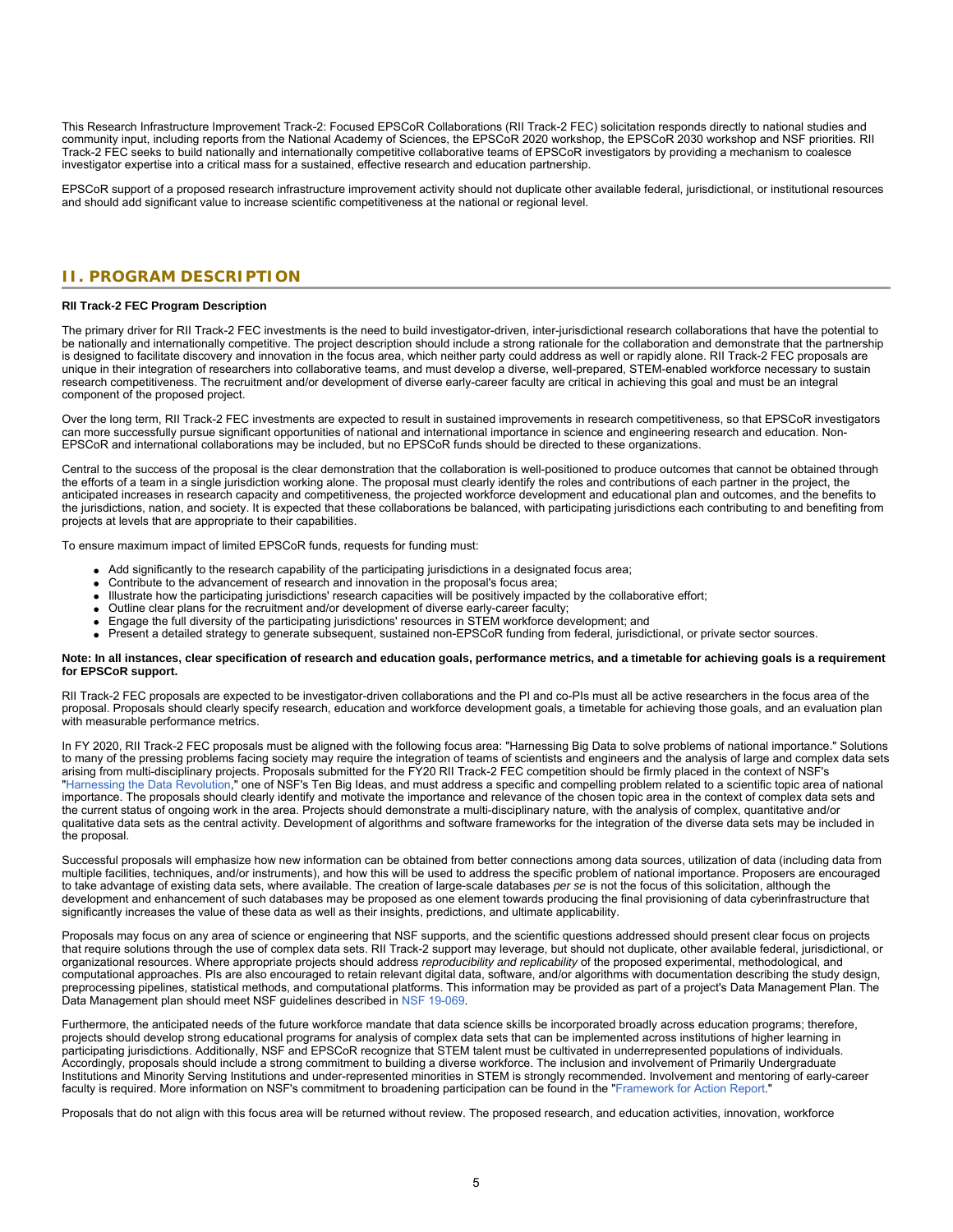This Research Infrastructure Improvement Track-2: Focused EPSCoR Collaborations (RII Track-2 FEC) solicitation responds directly to national studies and community input, including reports from the National Academy of Sciences, the EPSCoR 2020 workshop, the EPSCoR 2030 workshop and NSF priorities. RII Track-2 FEC seeks to build nationally and internationally competitive collaborative teams of EPSCoR investigators by providing a mechanism to coalesce investigator expertise into a critical mass for a sustained, effective research and education partnership.

EPSCoR support of a proposed research infrastructure improvement activity should not duplicate other available federal, jurisdictional, or institutional resources and should add significant value to increase scientific competitiveness at the national or regional level.

# <span id="page-4-0"></span>**II. PROGRAM DESCRIPTION**

### **RII Track-2 FEC Program Description**

The primary driver for RII Track-2 FEC investments is the need to build investigator-driven, inter-jurisdictional research collaborations that have the potential to be nationally and internationally competitive. The project description should include a strong rationale for the collaboration and demonstrate that the partnership is designed to facilitate discovery and innovation in the focus area, which neither party could address as well or rapidly alone. RII Track-2 FEC proposals are unique in their integration of researchers into collaborative teams, and must develop a diverse, well-prepared, STEM-enabled workforce necessary to sustain research competitiveness. The recruitment and/or development of diverse early-career faculty are critical in achieving this goal and must be an integral component of the proposed project.

Over the long term, RII Track-2 FEC investments are expected to result in sustained improvements in research competitiveness, so that EPSCoR investigators can more successfully pursue significant opportunities of national and international importance in science and engineering research and education. Non-EPSCoR and international collaborations may be included, but no EPSCoR funds should be directed to these organizations.

Central to the success of the proposal is the clear demonstration that the collaboration is well-positioned to produce outcomes that cannot be obtained through the efforts of a team in a single jurisdiction working alone. The proposal must clearly identify the roles and contributions of each partner in the project, the anticipated increases in research capacity and competitiveness, the projected workforce development and educational plan and outcomes, and the benefits to the jurisdictions, nation, and society. It is expected that these collaborations be balanced, with participating jurisdictions each contributing to and benefiting from projects at levels that are appropriate to their capabilities.

To ensure maximum impact of limited EPSCoR funds, requests for funding must:

- Add significantly to the research capability of the participating jurisdictions in a designated focus area;
- Contribute to the advancement of research and innovation in the proposal's focus area;
- Illustrate how the participating jurisdictions' research capacities will be positively impacted by the collaborative effort;
- Outline clear plans for the recruitment and/or development of diverse early-career faculty;
- Engage the full diversity of the participating jurisdictions' resources in STEM workforce development; and
- Present a detailed strategy to generate subsequent, sustained non-EPSCoR funding from federal, jurisdictional, or private sector sources.

#### **Note: In all instances, clear specification of research and education goals, performance metrics, and a timetable for achieving goals is a requirement for EPSCoR support.**

RII Track-2 FEC proposals are expected to be investigator-driven collaborations and the PI and co-PIs must all be active researchers in the focus area of the proposal. Proposals should clearly specify research, education and workforce development goals, a timetable for achieving those goals, and an evaluation plan with measurable performance metrics.

In FY 2020, RII Track-2 FEC proposals must be aligned with the following focus area: "Harnessing Big Data to solve problems of national importance." Solutions to many of the pressing problems facing society may require the integration of teams of scientists and engineers and the analysis of large and complex data sets arising from multi-disciplinary projects. Proposals submitted for the FY20 RII Track-2 FEC competition should be firmly placed in the context of NSF's ["Harnessing the Data Revolution](https://www.nsf.gov/news/special_reports/big_ideas/harnessing.jsp)," one of NSF's Ten Big Ideas, and must address a specific and compelling problem related to a scientific topic area of national importance. The proposals should clearly identify and motivate the importance and relevance of the chosen topic area in the context of complex data sets and the current status of ongoing work in the area. Projects should demonstrate a multi-disciplinary nature, with the analysis of complex, quantitative and/or qualitative data sets as the central activity. Development of algorithms and software frameworks for the integration of the diverse data sets may be included in the proposal.

Successful proposals will emphasize how new information can be obtained from better connections among data sources, utilization of data (including data from multiple facilities, techniques, and/or instruments), and how this will be used to address the specific problem of national importance. Proposers are encouraged to take advantage of existing data sets, where available. The creation of large-scale databases *per se* is not the focus of this solicitation, although the development and enhancement of such databases may be proposed as one element towards producing the final provisioning of data cyberinfrastructure that significantly increases the value of these data as well as their insights, predictions, and ultimate applicability.

Proposals may focus on any area of science or engineering that NSF supports, and the scientific questions addressed should present clear focus on projects that require solutions through the use of complex data sets. RII Track-2 support may leverage, but should not duplicate, other available federal, jurisdictional, or organizational resources. Where appropriate projects should address *reproducibility and replicability* of the proposed experimental, methodological, and computational approaches. PIs are also encouraged to retain relevant digital data, software, and/or algorithms with documentation describing the study design, preprocessing pipelines, statistical methods, and computational platforms. This information may be provided as part of a project's Data Management Plan. The Data Management plan should meet NSF guidelines described in [NSF 19-069.](https://www.nsf.gov/publications/pub_summ.jsp?ods_key=nsf19069)

Furthermore, the anticipated needs of the future workforce mandate that data science skills be incorporated broadly across education programs; therefore, projects should develop strong educational programs for analysis of complex data sets that can be implemented across institutions of higher learning in participating jurisdictions. Additionally, NSF and EPSCoR recognize that STEM talent must be cultivated in underrepresented populations of individuals. Accordingly, proposals should include a strong commitment to building a diverse workforce. The inclusion and involvement of Primarily Undergraduate Institutions and Minority Serving Institutions and under-represented minorities in STEM is strongly recommended. Involvement and mentoring of early-career faculty is required. More information on NSF's commitment to broadening participation can be found in the ["Framework for Action Report](https://www.nsf.gov/od/broadeningparticipation/framework_report.jsp)."

Proposals that do not align with this focus area will be returned without review. The proposed research, and education activities, innovation, workforce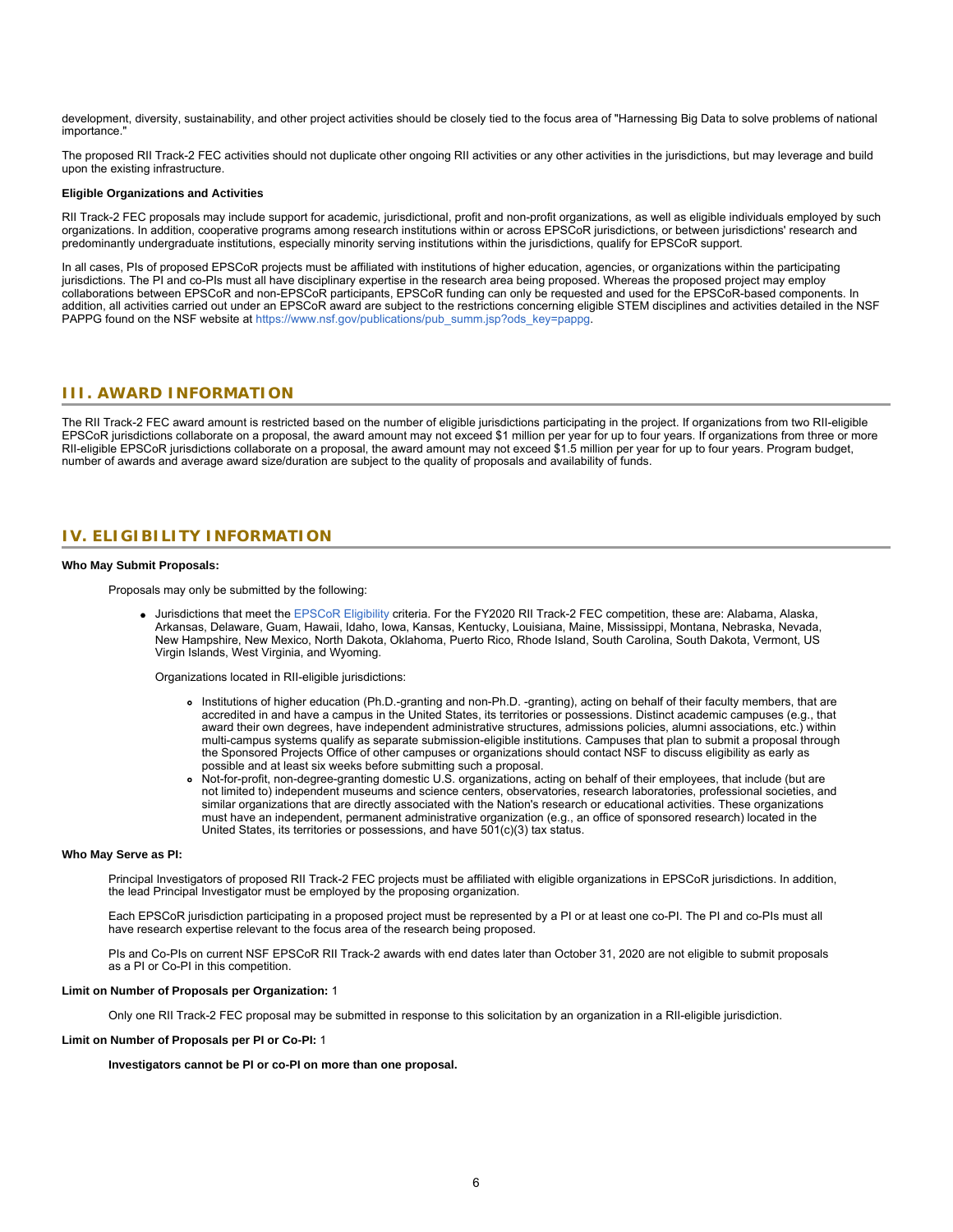development, diversity, sustainability, and other project activities should be closely tied to the focus area of "Harnessing Big Data to solve problems of national importance."

The proposed RII Track-2 FEC activities should not duplicate other ongoing RII activities or any other activities in the jurisdictions, but may leverage and build upon the existing infrastructure.

### **Eligible Organizations and Activities**

RII Track-2 FEC proposals may include support for academic, jurisdictional, profit and non-profit organizations, as well as eligible individuals employed by such organizations. In addition, cooperative programs among research institutions within or across EPSCoR jurisdictions, or between jurisdictions' research and predominantly undergraduate institutions, especially minority serving institutions within the jurisdictions, qualify for EPSCoR support.

In all cases, PIs of proposed EPSCoR projects must be affiliated with institutions of higher education, agencies, or organizations within the participating jurisdictions. The PI and co-PIs must all have disciplinary expertise in the research area being proposed. Whereas the proposed project may employ collaborations between EPSCoR and non-EPSCoR participants, EPSCoR funding can only be requested and used for the EPSCoR-based components. In addition, all activities carried out under an EPSCoR award are subject to the restrictions concerning eligible STEM disciplines and activities detailed in the NSF PAPPG found on the NSF website at [https://www.nsf.gov/publications/pub\\_summ.jsp?ods\\_key=pappg](https://www.nsf.gov/publications/pub_summ.jsp?ods_key=pappg).

# <span id="page-5-0"></span>**III. AWARD INFORMATION**

The RII Track-2 FEC award amount is restricted based on the number of eligible jurisdictions participating in the project. If organizations from two RII-eligible EPSCoR jurisdictions collaborate on a proposal, the award amount may not exceed \$1 million per year for up to four years. If organizations from three or more RII-eligible EPSCoR jurisdictions collaborate on a proposal, the award amount may not exceed \$1.5 million per year for up to four years. Program budget, number of awards and average award size/duration are subject to the quality of proposals and availability of funds.

# <span id="page-5-1"></span>**IV. ELIGIBILITY INFORMATION**

#### **Who May Submit Proposals:**

Proposals may only be submitted by the following:

Jurisdictions that meet the [EPSCoR Eligibility](https://www.nsf.gov/od/oia/programs/epscor/Eligibility_Tables/FY2017_Eligibility.pdf) criteria. For the FY2020 RII Track-2 FEC competition, these are: Alabama, Alaska, Arkansas, Delaware, Guam, Hawaii, Idaho, Iowa, Kansas, Kentucky, Louisiana, Maine, Mississippi, Montana, Nebraska, Nevada, New Hampshire, New Mexico, North Dakota, Oklahoma, Puerto Rico, Rhode Island, South Carolina, South Dakota, Vermont, US Virgin Islands, West Virginia, and Wyoming.

Organizations located in RII-eligible jurisdictions:

- Institutions of higher education (Ph.D.-granting and non-Ph.D. -granting), acting on behalf of their faculty members, that are accredited in and have a campus in the United States, its territories or possessions. Distinct academic campuses (e.g., that award their own degrees, have independent administrative structures, admissions policies, alumni associations, etc.) within multi-campus systems qualify as separate submission-eligible institutions. Campuses that plan to submit a proposal through the Sponsored Projects Office of other campuses or organizations should contact NSF to discuss eligibility as early as possible and at least six weeks before submitting such a proposal.
- Not-for-profit, non-degree-granting domestic U.S. organizations, acting on behalf of their employees, that include (but are not limited to) independent museums and science centers, observatories, research laboratories, professional societies, and similar organizations that are directly associated with the Nation's research or educational activities. These organizations must have an independent, permanent administrative organization (e.g., an office of sponsored research) located in the United States, its territories or possessions, and have 501(c)(3) tax status.

#### **Who May Serve as PI:**

Principal Investigators of proposed RII Track-2 FEC projects must be affiliated with eligible organizations in EPSCoR jurisdictions. In addition, the lead Principal Investigator must be employed by the proposing organization.

Each EPSCoR jurisdiction participating in a proposed project must be represented by a PI or at least one co-PI. The PI and co-PIs must all have research expertise relevant to the focus area of the research being proposed.

PIs and Co-PIs on current NSF EPSCoR RII Track-2 awards with end dates later than October 31, 2020 are not eligible to submit proposals as a PI or Co-PI in this competition.

### **Limit on Number of Proposals per Organization:** 1

Only one RII Track-2 FEC proposal may be submitted in response to this solicitation by an organization in a RII-eligible jurisdiction.

**Limit on Number of Proposals per PI or Co-PI:** 1

#### **Investigators cannot be PI or co-PI on more than one proposal.**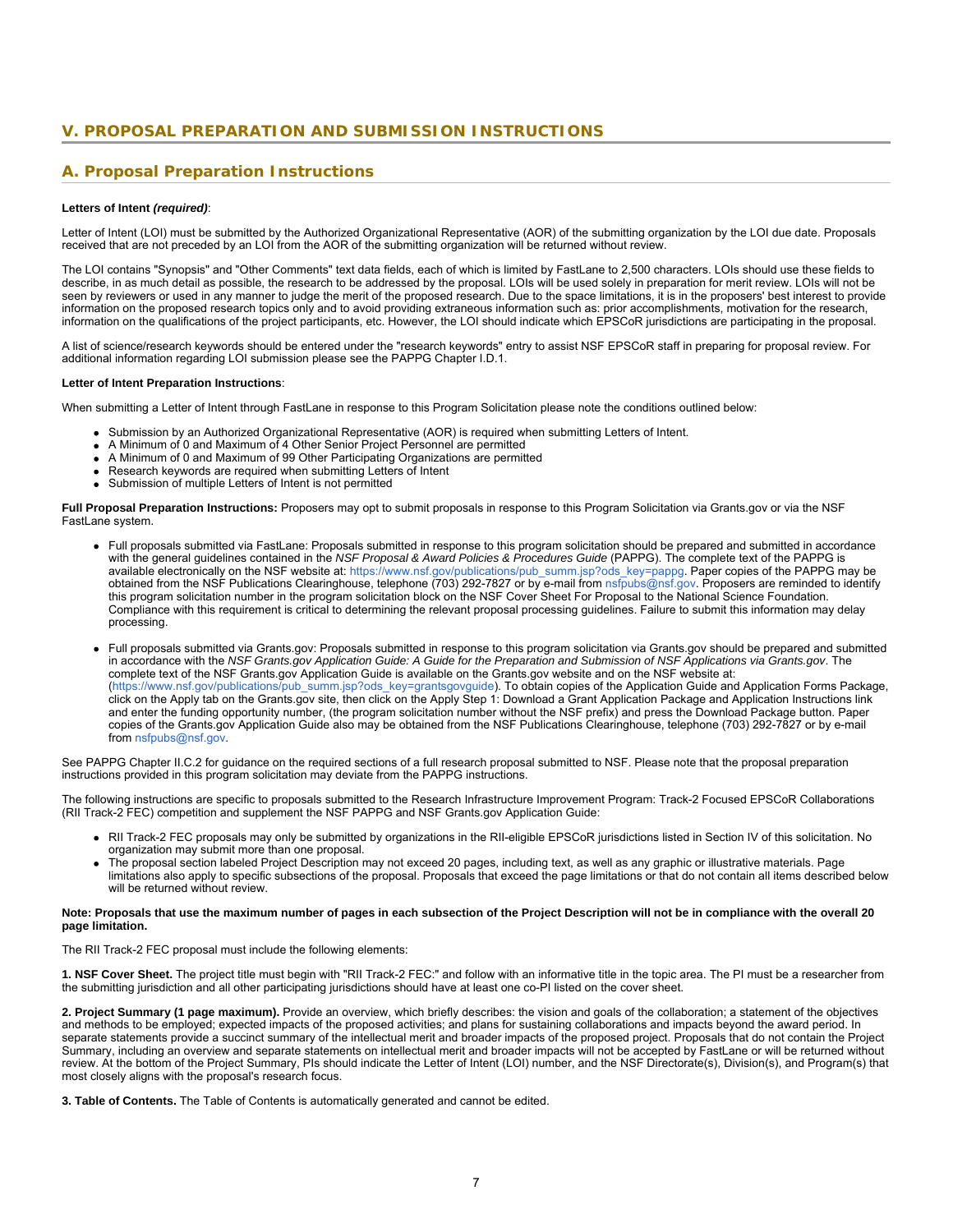# <span id="page-6-0"></span>**V. PROPOSAL PREPARATION AND SUBMISSION INSTRUCTIONS**

# **A. Proposal Preparation Instructions**

### **Letters of Intent** *(required)*:

Letter of Intent (LOI) must be submitted by the Authorized Organizational Representative (AOR) of the submitting organization by the LOI due date. Proposals received that are not preceded by an LOI from the AOR of the submitting organization will be returned without review.

The LOI contains "Synopsis" and "Other Comments" text data fields, each of which is limited by FastLane to 2,500 characters. LOIs should use these fields to describe, in as much detail as possible, the research to be addressed by the proposal. LOIs will be used solely in preparation for merit review. LOIs will not be seen by reviewers or used in any manner to judge the merit of the proposed research. Due to the space limitations, it is in the proposers' best interest to provide information on the proposed research topics only and to avoid providing extraneous information such as: prior accomplishments, motivation for the research, information on the qualifications of the project participants, etc. However, the LOI should indicate which EPSCoR jurisdictions are participating in the proposal.

A list of science/research keywords should be entered under the "research keywords" entry to assist NSF EPSCoR staff in preparing for proposal review. For additional information regarding LOI submission please see the PAPPG Chapter I.D.1.

### **Letter of Intent Preparation Instructions**:

When submitting a Letter of Intent through FastLane in response to this Program Solicitation please note the conditions outlined below:

- Submission by an Authorized Organizational Representative (AOR) is required when submitting Letters of Intent.
	- A Minimum of 0 and Maximum of 4 Other Senior Project Personnel are permitted
	- A Minimum of 0 and Maximum of 99 Other Participating Organizations are permitted
	- Research keywords are required when submitting Letters of Intent
	- Submission of multiple Letters of Intent is not permitted

**Full Proposal Preparation Instructions:** Proposers may opt to submit proposals in response to this Program Solicitation via Grants.gov or via the NSF FastLane system.

- Full proposals submitted via FastLane: Proposals submitted in response to this program solicitation should be prepared and submitted in accordance with the general guidelines contained in the *NSF Proposal & Award Policies & Procedures Guide* (PAPPG). The complete text of the PAPPG is available electronically on the NSF website at: [https://www.nsf.gov/publications/pub\\_summ.jsp?ods\\_key=pappg](https://www.nsf.gov/publications/pub_summ.jsp?ods_key=pappg). Paper copies of the PAPPG may be obtained from the NSF Publications Clearinghouse, telephone (703) 292-7827 or by e-mail from [nsfpubs@nsf.gov.](mailto:nsfpubs@nsf.gov) Proposers are reminded to identify this program solicitation number in the program solicitation block on the NSF Cover Sheet For Proposal to the National Science Foundation. Compliance with this requirement is critical to determining the relevant proposal processing guidelines. Failure to submit this information may delay processing.
- Full proposals submitted via Grants.gov: Proposals submitted in response to this program solicitation via Grants.gov should be prepared and submitted in accordance with the *NSF Grants.gov Application Guide: A Guide for the Preparation and Submission of NSF Applications via Grants.gov*. The complete text of the NSF Grants.gov Application Guide is available on the Grants.gov website and on the NSF website at: [\(https://www.nsf.gov/publications/pub\\_summ.jsp?ods\\_key=grantsgovguide](https://www.nsf.gov/publications/pub_summ.jsp?ods_key=grantsgovguide)). To obtain copies of the Application Guide and Application Forms Package, click on the Apply tab on the Grants.gov site, then click on the Apply Step 1: Download a Grant Application Package and Application Instructions link and enter the funding opportunity number, (the program solicitation number without the NSF prefix) and press the Download Package button. Paper copies of the Grants.gov Application Guide also may be obtained from the NSF Publications Clearinghouse, telephone (703) 292-7827 or by e-mail from nsfpubs@nsf.gov.

See PAPPG Chapter II.C.2 for guidance on the required sections of a full research proposal submitted to NSF. Please note that the proposal preparation instructions provided in this program solicitation may deviate from the PAPPG instructions.

The following instructions are specific to proposals submitted to the Research Infrastructure Improvement Program: Track-2 Focused EPSCoR Collaborations (RII Track-2 FEC) competition and supplement the NSF PAPPG and NSF Grants.gov Application Guide:

- RII Track-2 FEC proposals may only be submitted by organizations in the RII-eligible EPSCoR jurisdictions listed in Section IV of this solicitation. No organization may submit more than one proposal.
- The proposal section labeled Project Description may not exceed 20 pages, including text, as well as any graphic or illustrative materials. Page limitations also apply to specific subsections of the proposal. Proposals that exceed the page limitations or that do not contain all items described below will be returned without review.

### **Note: Proposals that use the maximum number of pages in each subsection of the Project Description will not be in compliance with the overall 20 page limitation.**

The RII Track-2 FEC proposal must include the following elements:

**1. NSF Cover Sheet.** The project title must begin with "RII Track-2 FEC:" and follow with an informative title in the topic area. The PI must be a researcher from the submitting jurisdiction and all other participating jurisdictions should have at least one co-PI listed on the cover sheet.

**2. Project Summary (1 page maximum).** Provide an overview, which briefly describes: the vision and goals of the collaboration; a statement of the objectives and methods to be employed; expected impacts of the proposed activities; and plans for sustaining collaborations and impacts beyond the award period. In separate statements provide a succinct summary of the intellectual merit and broader impacts of the proposed project. Proposals that do not contain the Project Summary, including an overview and separate statements on intellectual merit and broader impacts will not be accepted by FastLane or will be returned without review. At the bottom of the Project Summary, PIs should indicate the Letter of Intent (LOI) number, and the NSF Directorate(s), Division(s), and Program(s) that most closely aligns with the proposal's research focus.

**3. Table of Contents.** The Table of Contents is automatically generated and cannot be edited.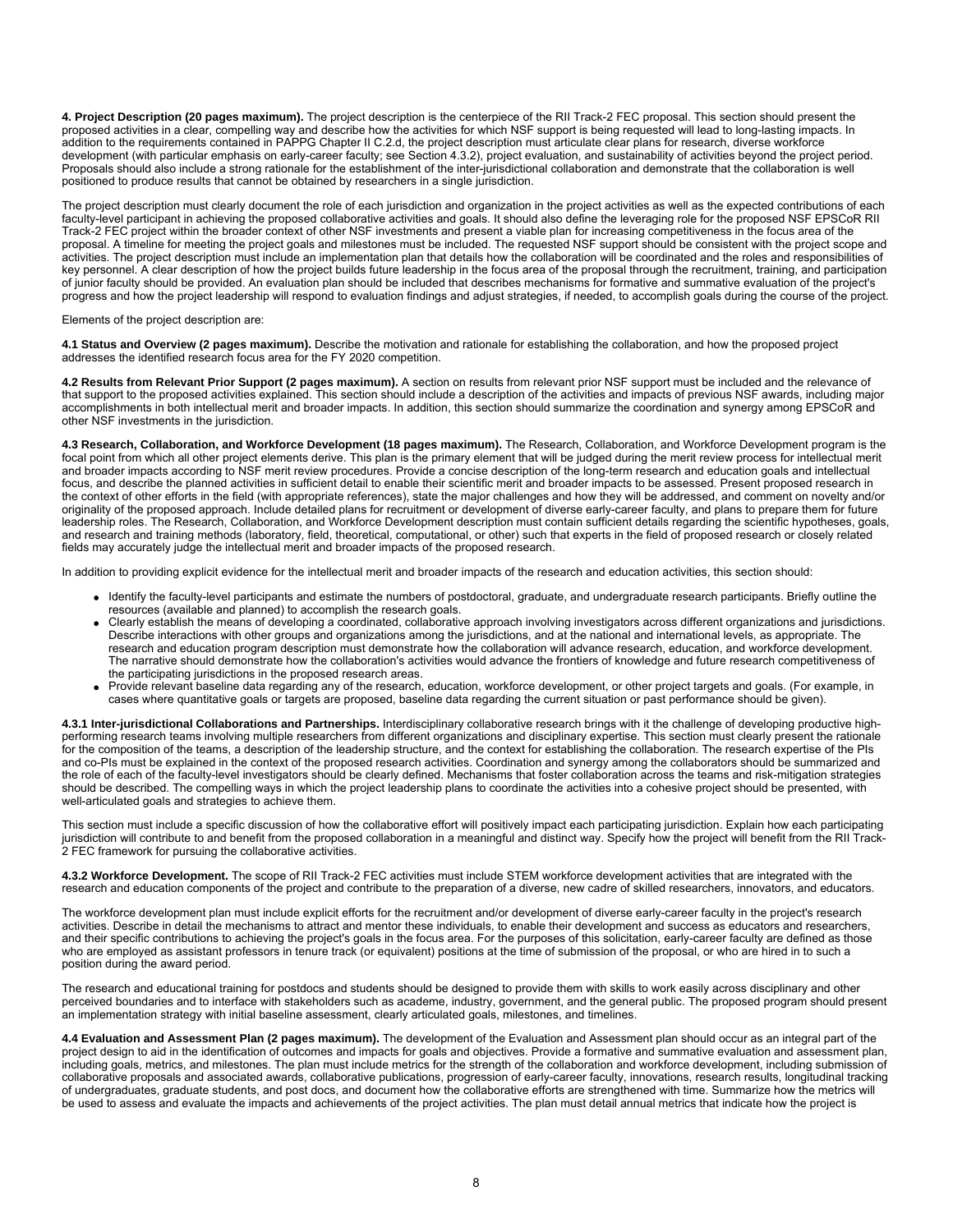**4. Project Description (20 pages maximum).** The project description is the centerpiece of the RII Track-2 FEC proposal. This section should present the proposed activities in a clear, compelling way and describe how the activities for which NSF support is being requested will lead to long-lasting impacts. In addition to the requirements contained in PAPPG Chapter II C.2.d, the project description must articulate clear plans for research, diverse workforce development (with particular emphasis on early-career faculty; see Section 4.3.2), project evaluation, and sustainability of activities beyond the project period. Proposals should also include a strong rationale for the establishment of the inter-jurisdictional collaboration and demonstrate that the collaboration is well positioned to produce results that cannot be obtained by researchers in a single jurisdiction.

The project description must clearly document the role of each jurisdiction and organization in the project activities as well as the expected contributions of each faculty-level participant in achieving the proposed collaborative activities and goals. It should also define the leveraging role for the proposed NSF EPSCoR RII Track-2 FEC project within the broader context of other NSF investments and present a viable plan for increasing competitiveness in the focus area of the proposal. A timeline for meeting the project goals and milestones must be included. The requested NSF support should be consistent with the project scope and activities. The project description must include an implementation plan that details how the collaboration will be coordinated and the roles and responsibilities of key personnel. A clear description of how the project builds future leadership in the focus area of the proposal through the recruitment, training, and participation of junior faculty should be provided. An evaluation plan should be included that describes mechanisms for formative and summative evaluation of the project's progress and how the project leadership will respond to evaluation findings and adjust strategies, if needed, to accomplish goals during the course of the project.

Elements of the project description are:

**4.1 Status and Overview (2 pages maximum).** Describe the motivation and rationale for establishing the collaboration, and how the proposed project addresses the identified research focus area for the FY 2020 competition.

**4.2 Results from Relevant Prior Support (2 pages maximum).** A section on results from relevant prior NSF support must be included and the relevance of that support to the proposed activities explained. This section should include a description of the activities and impacts of previous NSF awards, including major accomplishments in both intellectual merit and broader impacts. In addition, this section should summarize the coordination and synergy among EPSCoR and other NSF investments in the jurisdiction.

**4.3 Research, Collaboration, and Workforce Development (18 pages maximum).** The Research, Collaboration, and Workforce Development program is the focal point from which all other project elements derive. This plan is the primary element that will be judged during the merit review process for intellectual merit and broader impacts according to NSF merit review procedures. Provide a concise description of the long-term research and education goals and intellectual focus, and describe the planned activities in sufficient detail to enable their scientific merit and broader impacts to be assessed. Present proposed research in the context of other efforts in the field (with appropriate references), state the major challenges and how they will be addressed, and comment on novelty and/or originality of the proposed approach. Include detailed plans for recruitment or development of diverse early-career faculty, and plans to prepare them for future leadership roles. The Research, Collaboration, and Workforce Development description must contain sufficient details regarding the scientific hypotheses, goals, and research and training methods (laboratory, field, theoretical, computational, or other) such that experts in the field of proposed research or closely related fields may accurately judge the intellectual merit and broader impacts of the proposed research.

In addition to providing explicit evidence for the intellectual merit and broader impacts of the research and education activities, this section should:

- Identify the faculty-level participants and estimate the numbers of postdoctoral, graduate, and undergraduate research participants. Briefly outline the resources (available and planned) to accomplish the research goals.
- Clearly establish the means of developing a coordinated, collaborative approach involving investigators across different organizations and jurisdictions. Describe interactions with other groups and organizations among the jurisdictions, and at the national and international levels, as appropriate. The research and education program description must demonstrate how the collaboration will advance research, education, and workforce development. The narrative should demonstrate how the collaboration's activities would advance the frontiers of knowledge and future research competitiveness of the participating jurisdictions in the proposed research areas.
- Provide relevant baseline data regarding any of the research, education, workforce development, or other project targets and goals. (For example, in cases where quantitative goals or targets are proposed, baseline data regarding the current situation or past performance should be given).

**4.3.1 Inter-jurisdictional Collaborations and Partnerships.** Interdisciplinary collaborative research brings with it the challenge of developing productive highperforming research teams involving multiple researchers from different organizations and disciplinary expertise. This section must clearly present the rationale for the composition of the teams, a description of the leadership structure, and the context for establishing the collaboration. The research expertise of the PIs and co-PIs must be explained in the context of the proposed research activities. Coordination and synergy among the collaborators should be summarized and the role of each of the faculty-level investigators should be clearly defined. Mechanisms that foster collaboration across the teams and risk-mitigation strategies should be described. The compelling ways in which the project leadership plans to coordinate the activities into a cohesive project should be presented, with well-articulated goals and strategies to achieve them.

This section must include a specific discussion of how the collaborative effort will positively impact each participating jurisdiction. Explain how each participating jurisdiction will contribute to and benefit from the proposed collaboration in a meaningful and distinct way. Specify how the project will benefit from the RII Track-2 FEC framework for pursuing the collaborative activities.

**4.3.2 Workforce Development.** The scope of RII Track-2 FEC activities must include STEM workforce development activities that are integrated with the research and education components of the project and contribute to the preparation of a diverse, new cadre of skilled researchers, innovators, and educators.

The workforce development plan must include explicit efforts for the recruitment and/or development of diverse early-career faculty in the project's research activities. Describe in detail the mechanisms to attract and mentor these individuals, to enable their development and success as educators and researchers, and their specific contributions to achieving the project's goals in the focus area. For the purposes of this solicitation, early-career faculty are defined as those who are employed as assistant professors in tenure track (or equivalent) positions at the time of submission of the proposal, or who are hired in to such a position during the award period.

The research and educational training for postdocs and students should be designed to provide them with skills to work easily across disciplinary and other perceived boundaries and to interface with stakeholders such as academe, industry, government, and the general public. The proposed program should present an implementation strategy with initial baseline assessment, clearly articulated goals, milestones, and timelines.

**4.4 Evaluation and Assessment Plan (2 pages maximum).** The development of the Evaluation and Assessment plan should occur as an integral part of the project design to aid in the identification of outcomes and impacts for goals and objectives. Provide a formative and summative evaluation and assessment plan, including goals, metrics, and milestones. The plan must include metrics for the strength of the collaboration and workforce development, including submission of collaborative proposals and associated awards, collaborative publications, progression of early-career faculty, innovations, research results, longitudinal tracking of undergraduates, graduate students, and post docs, and document how the collaborative efforts are strengthened with time. Summarize how the metrics will be used to assess and evaluate the impacts and achievements of the project activities. The plan must detail annual metrics that indicate how the project is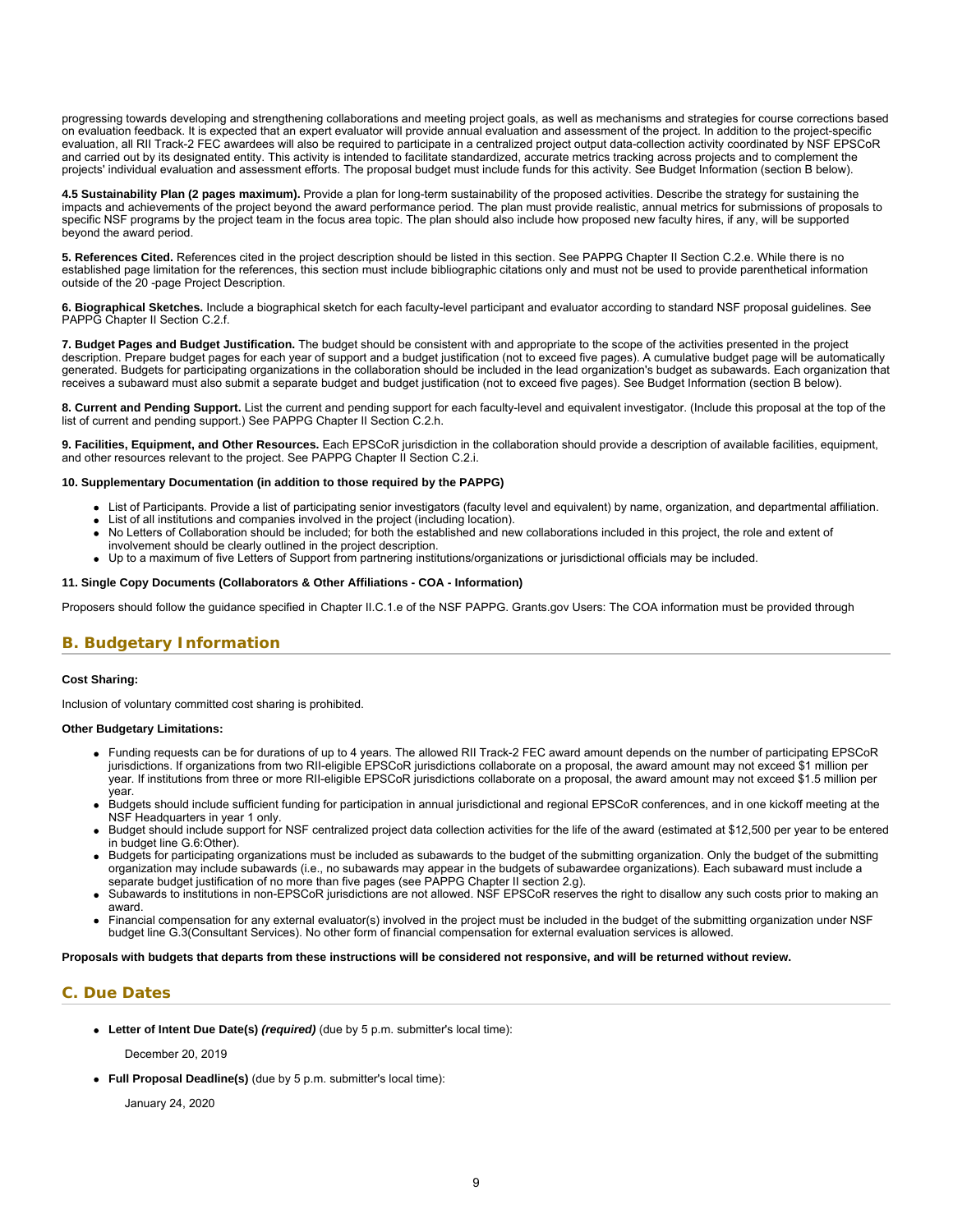progressing towards developing and strengthening collaborations and meeting project goals, as well as mechanisms and strategies for course corrections based on evaluation feedback. It is expected that an expert evaluator will provide annual evaluation and assessment of the project. In addition to the project-specific evaluation, all RII Track-2 FEC awardees will also be required to participate in a centralized project output data-collection activity coordinated by NSF EPSCoR and carried out by its designated entity. This activity is intended to facilitate standardized, accurate metrics tracking across projects and to complement the projects' individual evaluation and assessment efforts. The proposal budget must include funds for this activity. See Budget Information (section B below).

**4.5 Sustainability Plan (2 pages maximum).** Provide a plan for long-term sustainability of the proposed activities. Describe the strategy for sustaining the impacts and achievements of the project beyond the award performance period. The plan must provide realistic, annual metrics for submissions of proposals to specific NSF programs by the project team in the focus area topic. The plan should also include how proposed new faculty hires, if any, will be supported beyond the award period.

**5. References Cited.** References cited in the project description should be listed in this section. See PAPPG Chapter II Section C.2.e. While there is no established page limitation for the references, this section must include bibliographic citations only and must not be used to provide parenthetical information outside of the 20 -page Project Description.

**6. Biographical Sketches.** Include a biographical sketch for each faculty-level participant and evaluator according to standard NSF proposal guidelines. See PAPPG Chapter II Section C.2.f.

**7. Budget Pages and Budget Justification.** The budget should be consistent with and appropriate to the scope of the activities presented in the project description. Prepare budget pages for each year of support and a budget justification (not to exceed five pages). A cumulative budget page will be automatically generated. Budgets for participating organizations in the collaboration should be included in the lead organization's budget as subawards. Each organization that receives a subaward must also submit a separate budget and budget justification (not to exceed five pages). See Budget Information (section B below).

**8. Current and Pending Support.** List the current and pending support for each faculty-level and equivalent investigator. (Include this proposal at the top of the list of current and pending support.) See PAPPG Chapter II Section C.2.h.

**9. Facilities, Equipment, and Other Resources.** Each EPSCoR jurisdiction in the collaboration should provide a description of available facilities, equipment, and other resources relevant to the project. See PAPPG Chapter II Section C.2.i.

### **10. Supplementary Documentation (in addition to those required by the PAPPG)**

- List of Participants. Provide a list of participating senior investigators (faculty level and equivalent) by name, organization, and departmental affiliation.
- List of all institutions and companies involved in the project (including location).
- No Letters of Collaboration should be included; for both the established and new collaborations included in this project, the role and extent of
- involvement should be clearly outlined in the project description.
- Up to a maximum of five Letters of Support from partnering institutions/organizations or jurisdictional officials may be included.

### **11. Single Copy Documents (Collaborators & Other Affiliations - COA - Information)**

Proposers should follow the guidance specified in Chapter II.C.1.e of the NSF PAPPG. Grants.gov Users: The COA information must be provided through

# <span id="page-8-0"></span>**B. Budgetary Information**

### **Cost Sharing:**

Inclusion of voluntary committed cost sharing is prohibited.

### **Other Budgetary Limitations:**

- Funding requests can be for durations of up to 4 years. The allowed RII Track-2 FEC award amount depends on the number of participating EPSCoR jurisdictions. If organizations from two RII-eligible EPSCoR jurisdictions collaborate on a proposal, the award amount may not exceed \$1 million per year. If institutions from three or more RII-eligible EPSCoR jurisdictions collaborate on a proposal, the award amount may not exceed \$1.5 million per year.
- Budgets should include sufficient funding for participation in annual jurisdictional and regional EPSCoR conferences, and in one kickoff meeting at the NSF Headquarters in year 1 only.
- Budget should include support for NSF centralized project data collection activities for the life of the award (estimated at \$12,500 per year to be entered in budget line G.6:Other).
- Budgets for participating organizations must be included as subawards to the budget of the submitting organization. Only the budget of the submitting organization may include subawards (i.e., no subawards may appear in the budgets of subawardee organizations). Each subaward must include a separate budget justification of no more than five pages (see PAPPG Chapter II section 2.g).
- Subawards to institutions in non-EPSCoR jurisdictions are not allowed. NSF EPSCoR reserves the right to disallow any such costs prior to making an award.
- Financial compensation for any external evaluator(s) involved in the project must be included in the budget of the submitting organization under NSF budget line G.3(Consultant Services). No other form of financial compensation for external evaluation services is allowed.

**Proposals with budgets that departs from these instructions will be considered not responsive, and will be returned without review.**

# <span id="page-8-1"></span>**C. Due Dates**

**Letter of Intent Due Date(s)** *(required)* (due by 5 p.m. submitter's local time):

December 20, 2019

**Full Proposal Deadline(s)** (due by 5 p.m. submitter's local time):

January 24, 2020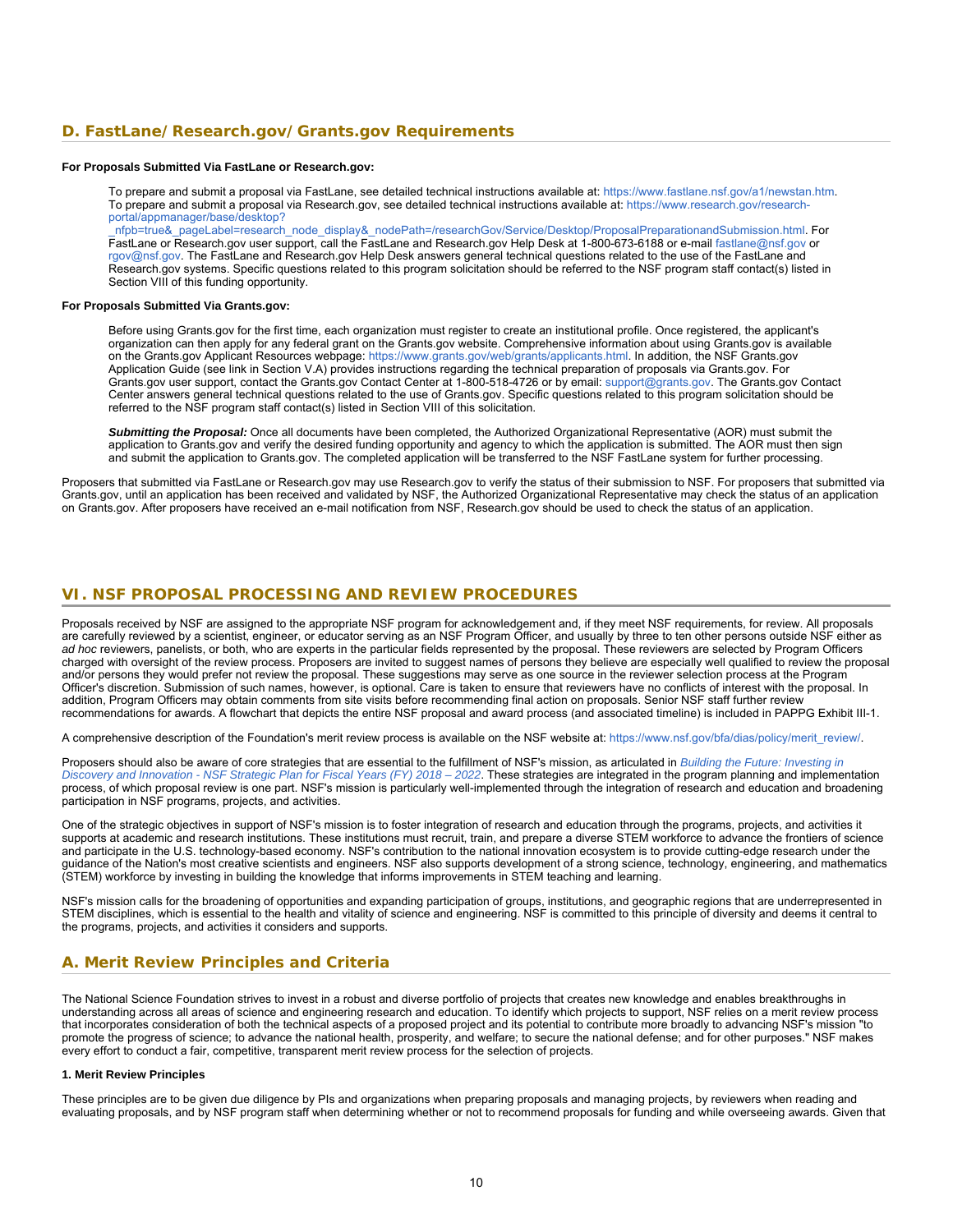# <span id="page-9-0"></span>**D. FastLane/Research.gov/Grants.gov Requirements**

#### **For Proposals Submitted Via FastLane or Research.gov:**

To prepare and submit a proposal via FastLane, see detailed technical instructions available at: <https://www.fastlane.nsf.gov/a1/newstan.htm>. To prepare and submit a proposal via Research.gov, see detailed technical instructions available at: [https://www.research.gov/research](https://www.research.gov/research-portal/appmanager/base/desktop?_nfpb=true&_pageLabel=research_node_display&_nodePath=/researchGov/Service/Desktop/ProposalPreparationandSubmission.html)[portal/appmanager/base/desktop?](https://www.research.gov/research-portal/appmanager/base/desktop?_nfpb=true&_pageLabel=research_node_display&_nodePath=/researchGov/Service/Desktop/ProposalPreparationandSubmission.html)

[\\_nfpb=true&\\_pageLabel=research\\_node\\_display&\\_nodePath=/researchGov/Service/Desktop/ProposalPreparationandSubmission.html](https://www.research.gov/research-portal/appmanager/base/desktop?_nfpb=true&_pageLabel=research_node_display&_nodePath=/researchGov/Service/Desktop/ProposalPreparationandSubmission.html). For FastLane or Research.gov user support, call the FastLane and Research.gov Help Desk at 1-800-673-6188 or e-mail [fastlane@nsf.gov](mailto:fastlane@nsf.gov) or [rgov@nsf.gov](mailto:rgov@nsf.gov). The FastLane and Research.gov Help Desk answers general technical questions related to the use of the FastLane and Research.gov systems. Specific questions related to this program solicitation should be referred to the NSF program staff contact(s) listed in Section VIII of this funding opportunity.

### **For Proposals Submitted Via Grants.gov:**

Before using Grants.gov for the first time, each organization must register to create an institutional profile. Once registered, the applicant's organization can then apply for any federal grant on the Grants.gov website. Comprehensive information about using Grants.gov is available on the Grants.gov Applicant Resources webpage:<https://www.grants.gov/web/grants/applicants.html>. In addition, the NSF Grants.gov Application Guide (see link in Section V.A) provides instructions regarding the technical preparation of proposals via Grants.gov. For Grants.gov user support, contact the Grants.gov Contact Center at 1-800-518-4726 or by email: [support@grants.gov.](mailto:support@grants.gov) The Grants.gov Contact Center answers general technical questions related to the use of Grants.gov. Specific questions related to this program solicitation should be referred to the NSF program staff contact(s) listed in Section VIII of this solicitation.

**Submitting the Proposal:** Once all documents have been completed, the Authorized Organizational Representative (AOR) must submit the application to Grants.gov and verify the desired funding opportunity and agency to which the application is submitted. The AOR must then sign and submit the application to Grants.gov. The completed application will be transferred to the NSF FastLane system for further processing.

<span id="page-9-1"></span>Proposers that submitted via FastLane or Research.gov may use Research.gov to verify the status of their submission to NSF. For proposers that submitted via Grants.gov, until an application has been received and validated by NSF, the Authorized Organizational Representative may check the status of an application on Grants.gov. After proposers have received an e-mail notification from NSF, Research.gov should be used to check the status of an application.

# **VI. NSF PROPOSAL PROCESSING AND REVIEW PROCEDURES**

Proposals received by NSF are assigned to the appropriate NSF program for acknowledgement and, if they meet NSF requirements, for review. All proposals are carefully reviewed by a scientist, engineer, or educator serving as an NSF Program Officer, and usually by three to ten other persons outside NSF either as *ad hoc* reviewers, panelists, or both, who are experts in the particular fields represented by the proposal. These reviewers are selected by Program Officers charged with oversight of the review process. Proposers are invited to suggest names of persons they believe are especially well qualified to review the proposal and/or persons they would prefer not review the proposal. These suggestions may serve as one source in the reviewer selection process at the Program Officer's discretion. Submission of such names, however, is optional. Care is taken to ensure that reviewers have no conflicts of interest with the proposal. In addition, Program Officers may obtain comments from site visits before recommending final action on proposals. Senior NSF staff further review recommendations for awards. A flowchart that depicts the entire NSF proposal and award process (and associated timeline) is included in PAPPG Exhibit III-1.

A comprehensive description of the Foundation's merit review process is available on the NSF website at: [https://www.nsf.gov/bfa/dias/policy/merit\\_review/](https://www.nsf.gov/bfa/dias/policy/merit_review/).

Proposers should also be aware of core strategies that are essential to the fulfillment of NSF's mission, as articulated in *[Building the Future: Investing in](https://www.nsf.gov/publications/pub_summ.jsp?ods_key=nsf18045) [Discovery and Innovation - NSF Strategic Plan for Fiscal Years \(FY\) 2018 – 2022](https://www.nsf.gov/publications/pub_summ.jsp?ods_key=nsf18045)*. These strategies are integrated in the program planning and implementation process, of which proposal review is one part. NSF's mission is particularly well-implemented through the integration of research and education and broadening participation in NSF programs, projects, and activities.

One of the strategic objectives in support of NSF's mission is to foster integration of research and education through the programs, projects, and activities it supports at academic and research institutions. These institutions must recruit, train, and prepare a diverse STEM workforce to advance the frontiers of science and participate in the U.S. technology-based economy. NSF's contribution to the national innovation ecosystem is to provide cutting-edge research under the guidance of the Nation's most creative scientists and engineers. NSF also supports development of a strong science, technology, engineering, and mathematics (STEM) workforce by investing in building the knowledge that informs improvements in STEM teaching and learning.

NSF's mission calls for the broadening of opportunities and expanding participation of groups, institutions, and geographic regions that are underrepresented in STEM disciplines, which is essential to the health and vitality of science and engineering. NSF is committed to this principle of diversity and deems it central to the programs, projects, and activities it considers and supports.

# <span id="page-9-2"></span>**A. Merit Review Principles and Criteria**

The National Science Foundation strives to invest in a robust and diverse portfolio of projects that creates new knowledge and enables breakthroughs in understanding across all areas of science and engineering research and education. To identify which projects to support, NSF relies on a merit review process that incorporates consideration of both the technical aspects of a proposed project and its potential to contribute more broadly to advancing NSF's mission "to promote the progress of science; to advance the national health, prosperity, and welfare; to secure the national defense; and for other purposes." NSF makes every effort to conduct a fair, competitive, transparent merit review process for the selection of projects.

### **1. Merit Review Principles**

These principles are to be given due diligence by PIs and organizations when preparing proposals and managing projects, by reviewers when reading and evaluating proposals, and by NSF program staff when determining whether or not to recommend proposals for funding and while overseeing awards. Given that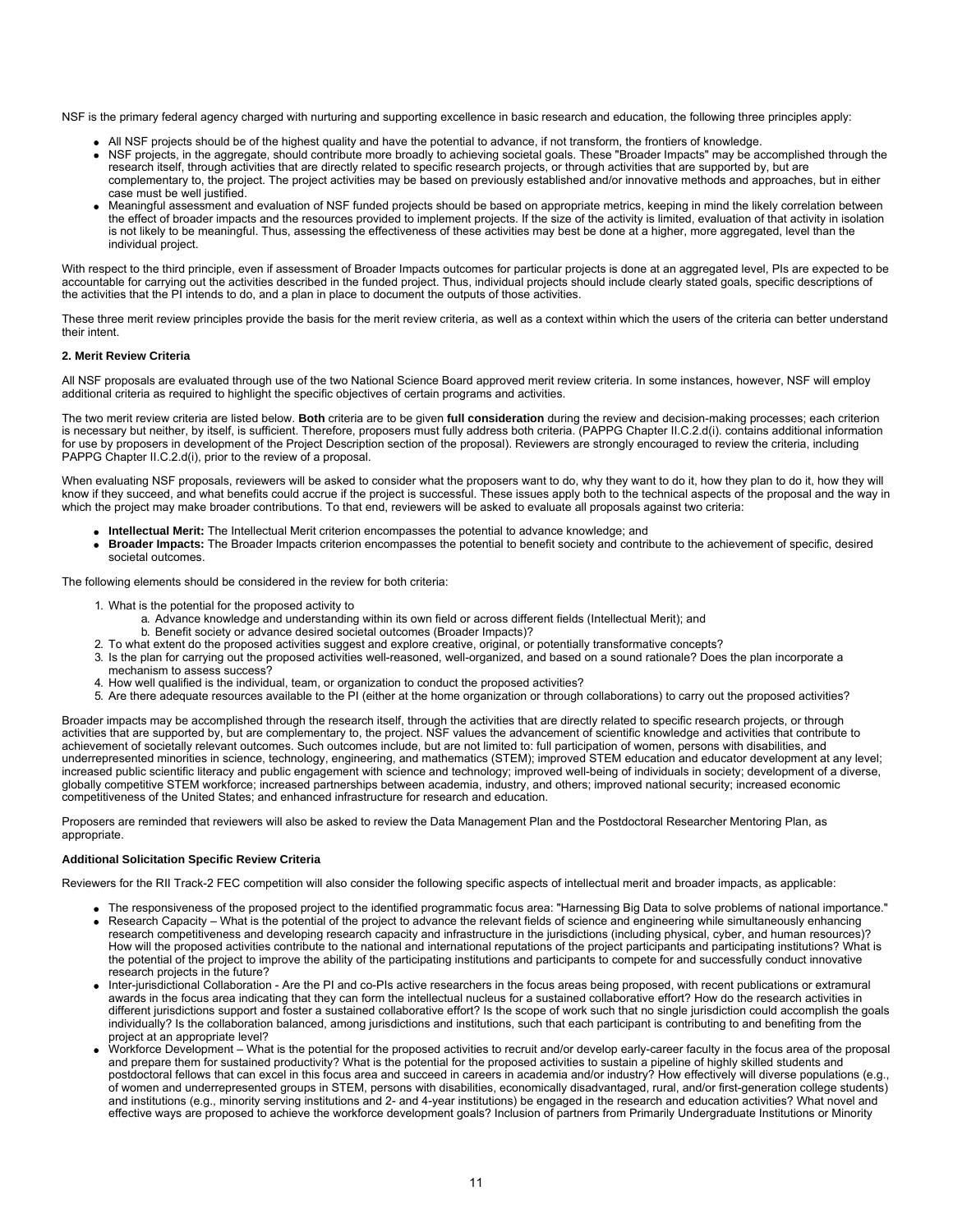NSF is the primary federal agency charged with nurturing and supporting excellence in basic research and education, the following three principles apply:

- All NSF projects should be of the highest quality and have the potential to advance, if not transform, the frontiers of knowledge.
- NSF projects, in the aggregate, should contribute more broadly to achieving societal goals. These "Broader Impacts" may be accomplished through the research itself, through activities that are directly related to specific research projects, or through activities that are supported by, but are complementary to, the project. The project activities may be based on previously established and/or innovative methods and approaches, but in either case must be well justified.
- Meaningful assessment and evaluation of NSF funded projects should be based on appropriate metrics, keeping in mind the likely correlation between the effect of broader impacts and the resources provided to implement projects. If the size of the activity is limited, evaluation of that activity in isolation is not likely to be meaningful. Thus, assessing the effectiveness of these activities may best be done at a higher, more aggregated, level than the individual project.

With respect to the third principle, even if assessment of Broader Impacts outcomes for particular projects is done at an aggregated level, PIs are expected to be accountable for carrying out the activities described in the funded project. Thus, individual projects should include clearly stated goals, specific descriptions of the activities that the PI intends to do, and a plan in place to document the outputs of those activities.

These three merit review principles provide the basis for the merit review criteria, as well as a context within which the users of the criteria can better understand their intent.

### **2. Merit Review Criteria**

All NSF proposals are evaluated through use of the two National Science Board approved merit review criteria. In some instances, however, NSF will employ additional criteria as required to highlight the specific objectives of certain programs and activities.

The two merit review criteria are listed below. **Both** criteria are to be given **full consideration** during the review and decision-making processes; each criterion is necessary but neither, by itself, is sufficient. Therefore, proposers must fully address both criteria. (PAPPG Chapter II.C.2.d(i). contains additional information for use by proposers in development of the Project Description section of the proposal). Reviewers are strongly encouraged to review the criteria, including PAPPG Chapter II.C.2.d(i), prior to the review of a proposal.

When evaluating NSF proposals, reviewers will be asked to consider what the proposers want to do, why they want to do it, how they plan to do it, how they will know if they succeed, and what benefits could accrue if the project is successful. These issues apply both to the technical aspects of the proposal and the way in which the project may make broader contributions. To that end, reviewers will be asked to evaluate all proposals against two criteria:

- **Intellectual Merit:** The Intellectual Merit criterion encompasses the potential to advance knowledge; and
- **Broader Impacts:** The Broader Impacts criterion encompasses the potential to benefit society and contribute to the achievement of specific, desired societal outcomes.

The following elements should be considered in the review for both criteria:

- 1. What is the potential for the proposed activity to
	- a. Advance knowledge and understanding within its own field or across different fields (Intellectual Merit); and
	- b. Benefit society or advance desired societal outcomes (Broader Impacts)?
- 2. To what extent do the proposed activities suggest and explore creative, original, or potentially transformative concepts?
- 3. Is the plan for carrying out the proposed activities well-reasoned, well-organized, and based on a sound rationale? Does the plan incorporate a mechanism to assess success?
- 4. How well qualified is the individual, team, or organization to conduct the proposed activities?
- 5. Are there adequate resources available to the PI (either at the home organization or through collaborations) to carry out the proposed activities?

Broader impacts may be accomplished through the research itself, through the activities that are directly related to specific research projects, or through activities that are supported by, but are complementary to, the project. NSF values the advancement of scientific knowledge and activities that contribute to achievement of societally relevant outcomes. Such outcomes include, but are not limited to: full participation of women, persons with disabilities, and underrepresented minorities in science, technology, engineering, and mathematics (STEM); improved STEM education and educator development at any level; increased public scientific literacy and public engagement with science and technology; improved well-being of individuals in society; development of a diverse, globally competitive STEM workforce; increased partnerships between academia, industry, and others; improved national security; increased economic competitiveness of the United States; and enhanced infrastructure for research and education.

Proposers are reminded that reviewers will also be asked to review the Data Management Plan and the Postdoctoral Researcher Mentoring Plan, as appropriate.

#### **Additional Solicitation Specific Review Criteria**

Reviewers for the RII Track-2 FEC competition will also consider the following specific aspects of intellectual merit and broader impacts, as applicable:

- The responsiveness of the proposed project to the identified programmatic focus area: "Harnessing Big Data to solve problems of national importance." Research Capacity – What is the potential of the project to advance the relevant fields of science and engineering while simultaneously enhancing research competitiveness and developing research capacity and infrastructure in the jurisdictions (including physical, cyber, and human resources)? How will the proposed activities contribute to the national and international reputations of the project participants and participating institutions? What is the potential of the project to improve the ability of the participating institutions and participants to compete for and successfully conduct innovative research projects in the future?
- Inter-jurisdictional Collaboration Are the PI and co-PIs active researchers in the focus areas being proposed, with recent publications or extramural awards in the focus area indicating that they can form the intellectual nucleus for a sustained collaborative effort? How do the research activities in different jurisdictions support and foster a sustained collaborative effort? Is the scope of work such that no single jurisdiction could accomplish the goals individually? Is the collaboration balanced, among jurisdictions and institutions, such that each participant is contributing to and benefiting from the project at an appropriate level?
- Workforce Development What is the potential for the proposed activities to recruit and/or develop early-career faculty in the focus area of the proposal and prepare them for sustained productivity? What is the potential for the proposed activities to sustain a pipeline of highly skilled students and postdoctoral fellows that can excel in this focus area and succeed in careers in academia and/or industry? How effectively will diverse populations (e.g., of women and underrepresented groups in STEM, persons with disabilities, economically disadvantaged, rural, and/or first-generation college students) and institutions (e.g., minority serving institutions and 2- and 4-year institutions) be engaged in the research and education activities? What novel and effective ways are proposed to achieve the workforce development goals? Inclusion of partners from Primarily Undergraduate Institutions or Minority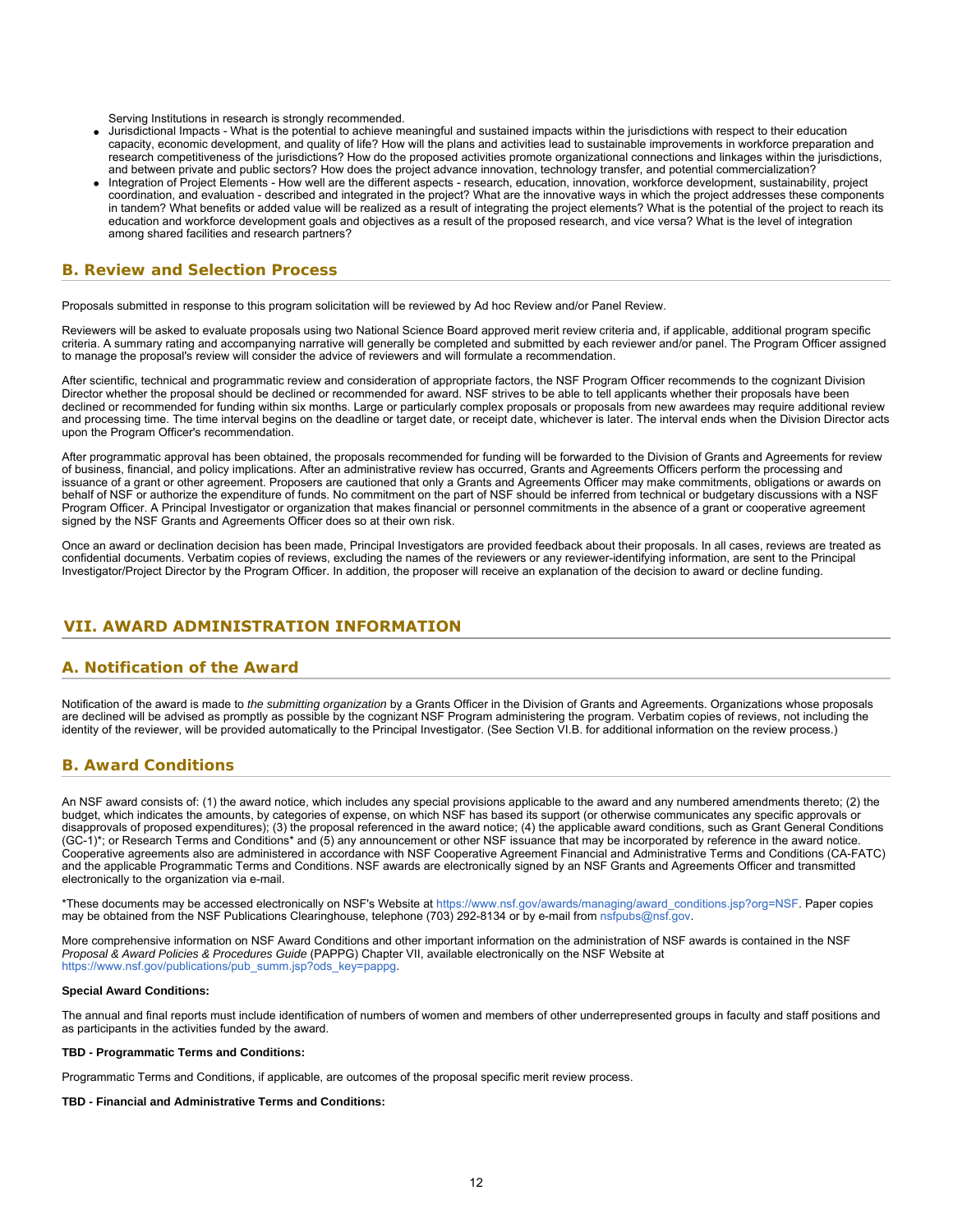<span id="page-11-1"></span>Serving Institutions in research is strongly recommended.

- Jurisdictional Impacts What is the potential to achieve meaningful and sustained impacts within the jurisdictions with respect to their education capacity, economic development, and quality of life? How will the plans and activities lead to sustainable improvements in workforce preparation and research competitiveness of the jurisdictions? How do the proposed activities promote organizational connections and linkages within the jurisdictions, and between private and public sectors? How does the project advance innovation, technology transfer, and potential commercialization?
- Integration of Project Elements How well are the different aspects research, education, innovation, workforce development, sustainability, project coordination, and evaluation - described and integrated in the project? What are the innovative ways in which the project addresses these components in tandem? What benefits or added value will be realized as a result of integrating the project elements? What is the potential of the project to reach its education and workforce development goals and objectives as a result of the proposed research, and vice versa? What is the level of integration among shared facilities and research partners?

# <span id="page-11-0"></span>**B. Review and Selection Process**

Proposals submitted in response to this program solicitation will be reviewed by Ad hoc Review and/or Panel Review.

Reviewers will be asked to evaluate proposals using two National Science Board approved merit review criteria and, if applicable, additional program specific criteria. A summary rating and accompanying narrative will generally be completed and submitted by each reviewer and/or panel. The Program Officer assigned to manage the proposal's review will consider the advice of reviewers and will formulate a recommendation.

After scientific, technical and programmatic review and consideration of appropriate factors, the NSF Program Officer recommends to the cognizant Division Director whether the proposal should be declined or recommended for award. NSF strives to be able to tell applicants whether their proposals have been declined or recommended for funding within six months. Large or particularly complex proposals or proposals from new awardees may require additional review and processing time. The time interval begins on the deadline or target date, or receipt date, whichever is later. The interval ends when the Division Director acts upon the Program Officer's recommendation.

After programmatic approval has been obtained, the proposals recommended for funding will be forwarded to the Division of Grants and Agreements for review of business, financial, and policy implications. After an administrative review has occurred, Grants and Agreements Officers perform the processing and issuance of a grant or other agreement. Proposers are cautioned that only a Grants and Agreements Officer may make commitments, obligations or awards on behalf of NSF or authorize the expenditure of funds. No commitment on the part of NSF should be inferred from technical or budgetary discussions with a NSF Program Officer. A Principal Investigator or organization that makes financial or personnel commitments in the absence of a grant or cooperative agreement signed by the NSF Grants and Agreements Officer does so at their own risk.

Once an award or declination decision has been made, Principal Investigators are provided feedback about their proposals. In all cases, reviews are treated as confidential documents. Verbatim copies of reviews, excluding the names of the reviewers or any reviewer-identifying information, are sent to the Principal Investigator/Project Director by the Program Officer. In addition, the proposer will receive an explanation of the decision to award or decline funding.

# **VII. AWARD ADMINISTRATION INFORMATION**

# <span id="page-11-2"></span>**A. Notification of the Award**

Notification of the award is made to *the submitting organization* by a Grants Officer in the Division of Grants and Agreements. Organizations whose proposals are declined will be advised as promptly as possible by the cognizant NSF Program administering the program. Verbatim copies of reviews, not including the identity of the reviewer, will be provided automatically to the Principal Investigator. (See Section VI.B. for additional information on the review process.)

# <span id="page-11-3"></span>**B. Award Conditions**

An NSF award consists of: (1) the award notice, which includes any special provisions applicable to the award and any numbered amendments thereto; (2) the budget, which indicates the amounts, by categories of expense, on which NSF has based its support (or otherwise communicates any specific approvals or disapprovals of proposed expenditures); (3) the proposal referenced in the award notice; (4) the applicable award conditions, such as Grant General Conditions (GC-1)\*; or Research Terms and Conditions\* and (5) any announcement or other NSF issuance that may be incorporated by reference in the award notice. Cooperative agreements also are administered in accordance with NSF Cooperative Agreement Financial and Administrative Terms and Conditions (CA-FATC) and the applicable Programmatic Terms and Conditions. NSF awards are electronically signed by an NSF Grants and Agreements Officer and transmitted electronically to the organization via e-mail.

\*These documents may be accessed electronically on NSF's Website at [https://www.nsf.gov/awards/managing/award\\_conditions.jsp?org=NSF](https://www.nsf.gov/awards/managing/award_conditions.jsp?org=NSF). Paper copies may be obtained from the NSF Publications Clearinghouse, telephone (703) 292-8134 or by e-mail from [nsfpubs@nsf.gov.](mailto:nsfpubs@nsf.gov)

More comprehensive information on NSF Award Conditions and other important information on the administration of NSF awards is contained in the NSF *Proposal & Award Policies & Procedures Guide* (PAPPG) Chapter VII, available electronically on the NSF Website at [https://www.nsf.gov/publications/pub\\_summ.jsp?ods\\_key=pappg.](https://www.nsf.gov/publications/pub_summ.jsp?ods_key=pappg)

### **Special Award Conditions:**

The annual and final reports must include identification of numbers of women and members of other underrepresented groups in faculty and staff positions and as participants in the activities funded by the award.

#### **TBD - Programmatic Terms and Conditions:**

Programmatic Terms and Conditions, if applicable, are outcomes of the proposal specific merit review process.

### **TBD - Financial and Administrative Terms and Conditions:**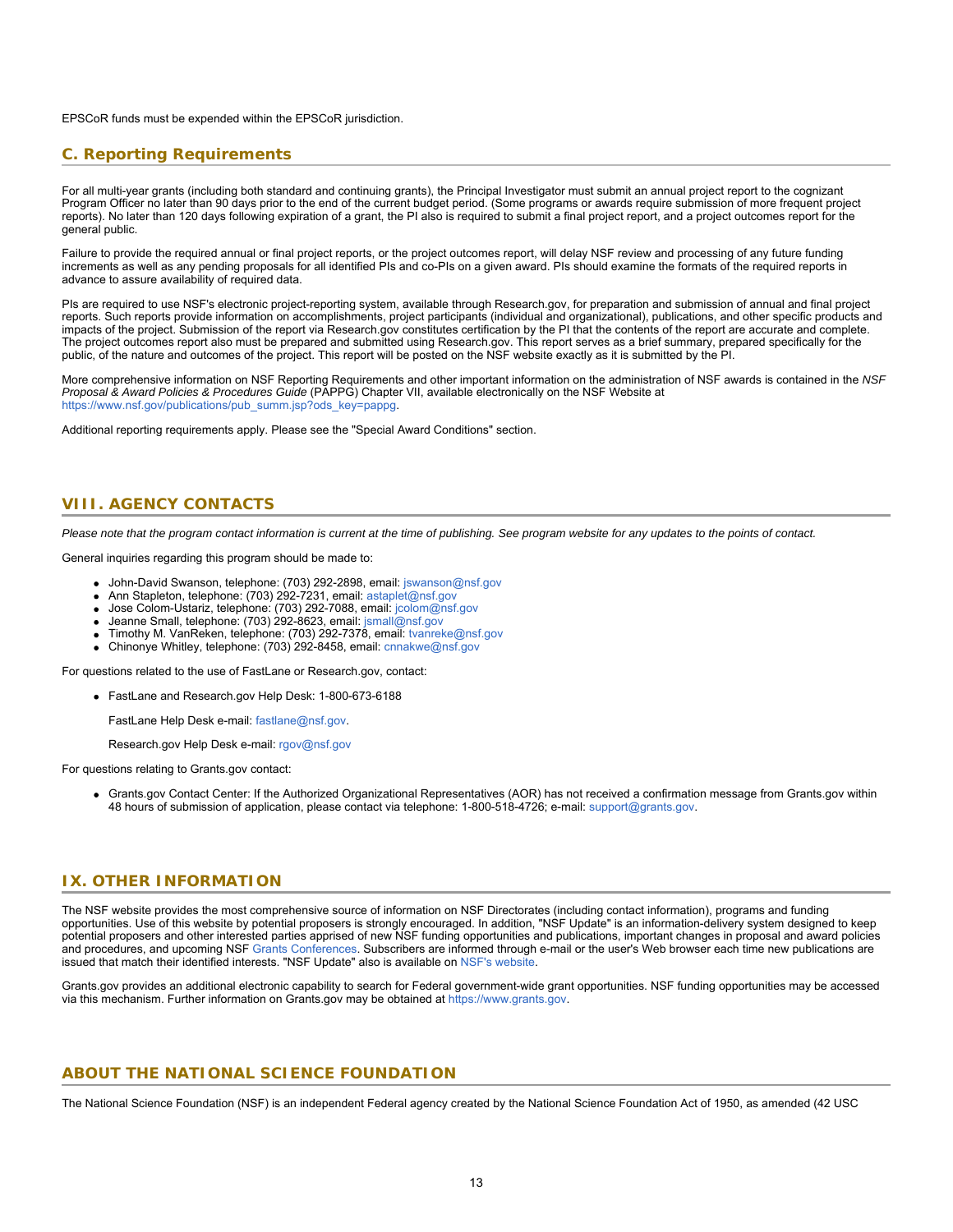EPSCoR funds must be expended within the EPSCoR jurisdiction.

# <span id="page-12-0"></span>**C. Reporting Requirements**

For all multi-year grants (including both standard and continuing grants), the Principal Investigator must submit an annual project report to the cognizant Program Officer no later than 90 days prior to the end of the current budget period. (Some programs or awards require submission of more frequent project reports). No later than 120 days following expiration of a grant, the PI also is required to submit a final project report, and a project outcomes report for the general public.

Failure to provide the required annual or final project reports, or the project outcomes report, will delay NSF review and processing of any future funding increments as well as any pending proposals for all identified PIs and co-PIs on a given award. PIs should examine the formats of the required reports in advance to assure availability of required data.

PIs are required to use NSF's electronic project-reporting system, available through Research.gov, for preparation and submission of annual and final project reports. Such reports provide information on accomplishments, project participants (individual and organizational), publications, and other specific products and impacts of the project. Submission of the report via Research.gov constitutes certification by the PI that the contents of the report are accurate and complete. The project outcomes report also must be prepared and submitted using Research.gov. This report serves as a brief summary, prepared specifically for the public, of the nature and outcomes of the project. This report will be posted on the NSF website exactly as it is submitted by the PI.

More comprehensive information on NSF Reporting Requirements and other important information on the administration of NSF awards is contained in the *NSF Proposal & Award Policies & Procedures Guide* (PAPPG) Chapter VII, available electronically on the NSF Website at [https://www.nsf.gov/publications/pub\\_summ.jsp?ods\\_key=pappg.](https://www.nsf.gov/publications/pub_summ.jsp?ods_key=pappg)

Additional reporting requirements apply. Please see the "Special Award Conditions" section.

# <span id="page-12-1"></span>**VIII. AGENCY CONTACTS**

*Please note that the program contact information is current at the time of publishing. See program website for any updates to the points of contact.*

General inquiries regarding this program should be made to:

- John-David Swanson, telephone: (703) 292-2898, email: [jswanson@nsf.gov](mailto:jswanson@nsf.gov)
- Ann Stapleton, telephone: (703) 292-7231, email: [astaplet@nsf.gov](mailto:astaplet@nsf.gov)
- Jose Colom-Ustariz, telephone: (703) 292-7088, email: [jcolom@nsf.gov](mailto:jcolom@nsf.gov)
- Jeanne Small, telephone: (703) 292-8623, email: [jsmall@nsf.gov](mailto:jsmall@nsf.gov)
- Timothy M. VanReken, telephone: (703) 292-7378, email: [tvanreke@nsf.gov](mailto:tvanreke@nsf.gov)
- Chinonye Whitley, telephone: (703) 292-8458, email: [cnnakwe@nsf.gov](mailto:cnnakwe@nsf.gov)

For questions related to the use of FastLane or Research.gov, contact:

FastLane and Research.gov Help Desk: 1-800-673-6188

FastLane Help Desk e-mail: [fastlane@nsf.gov](mailto:fastlane@nsf.gov).

Research.gov Help Desk e-mail: [rgov@nsf.gov](mailto:rgov@nsf.gov)

For questions relating to Grants.gov contact:

Grants.gov Contact Center: If the Authorized Organizational Representatives (AOR) has not received a confirmation message from Grants.gov within 48 hours of submission of application, please contact via telephone: 1-800-518-4726; e-mail: [support@grants.gov](mailto:support@grants.gov).

# <span id="page-12-2"></span>**IX. OTHER INFORMATION**

The NSF website provides the most comprehensive source of information on NSF Directorates (including contact information), programs and funding opportunities. Use of this website by potential proposers is strongly encouraged. In addition, "NSF Update" is an information-delivery system designed to keep potential proposers and other interested parties apprised of new NSF funding opportunities and publications, important changes in proposal and award policies and procedures, and upcoming NSF [Grants Conferences](https://www.nsf.gov/bfa/dias/policy/outreach.jsp). Subscribers are informed through e-mail or the user's Web browser each time new publications are issued that match their identified interests. "NSF Update" also is available on [NSF's website](https://www.nsf.gov/cgi-bin/goodbye?https://public.govdelivery.com/accounts/USNSF/subscriber/new?topic_id=USNSF_179).

Grants.gov provides an additional electronic capability to search for Federal government-wide grant opportunities. NSF funding opportunities may be accessed via this mechanism. Further information on Grants.gov may be obtained at [https://www.grants.gov](https://www.grants.gov/).

# **ABOUT THE NATIONAL SCIENCE FOUNDATION**

The National Science Foundation (NSF) is an independent Federal agency created by the National Science Foundation Act of 1950, as amended (42 USC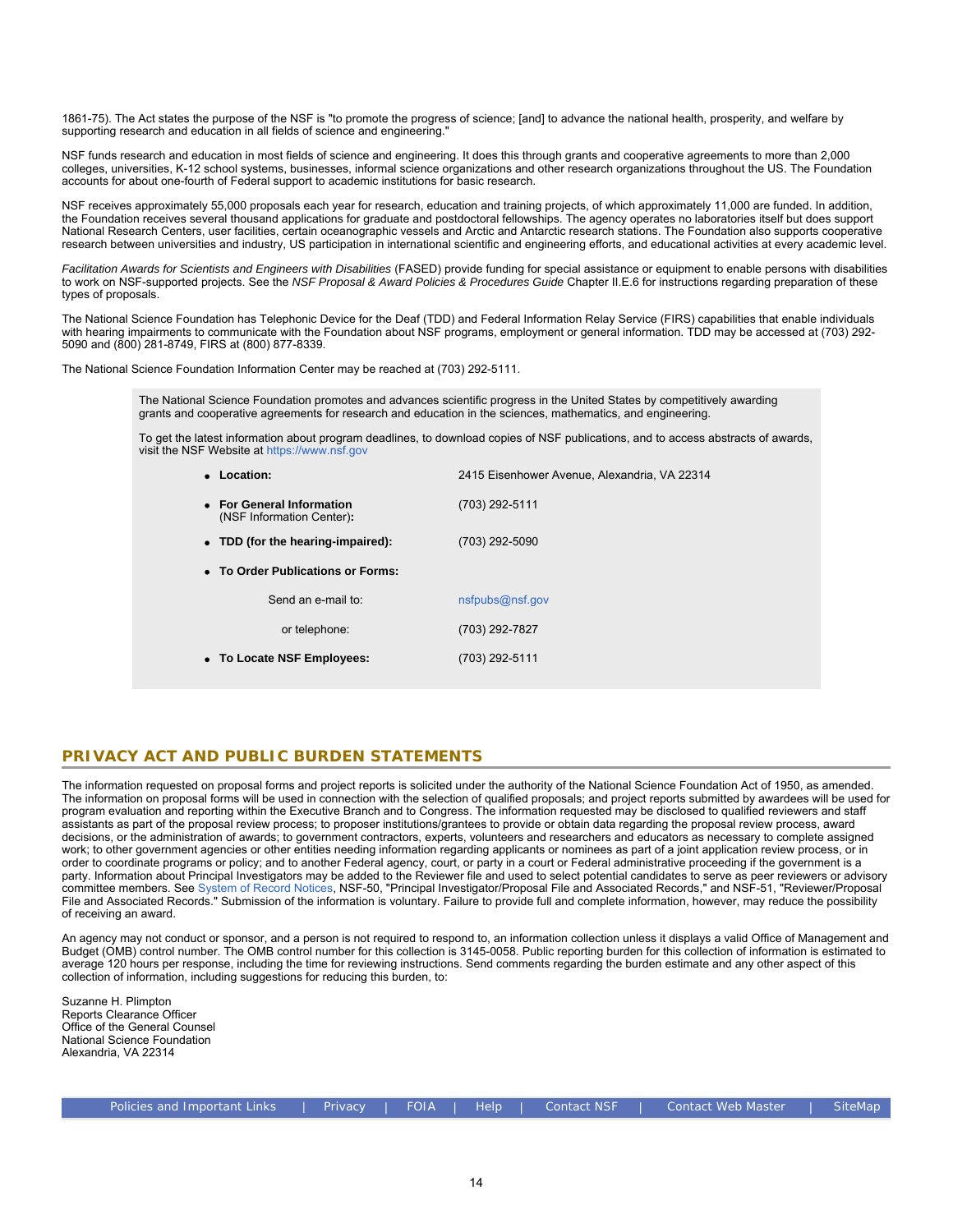1861-75). The Act states the purpose of the NSF is "to promote the progress of science; [and] to advance the national health, prosperity, and welfare by supporting research and education in all fields of science and engineering."

NSF funds research and education in most fields of science and engineering. It does this through grants and cooperative agreements to more than 2,000 colleges, universities, K-12 school systems, businesses, informal science organizations and other research organizations throughout the US. The Foundation accounts for about one-fourth of Federal support to academic institutions for basic research.

NSF receives approximately 55,000 proposals each year for research, education and training projects, of which approximately 11,000 are funded. In addition, the Foundation receives several thousand applications for graduate and postdoctoral fellowships. The agency operates no laboratories itself but does support National Research Centers, user facilities, certain oceanographic vessels and Arctic and Antarctic research stations. The Foundation also supports cooperative research between universities and industry, US participation in international scientific and engineering efforts, and educational activities at every academic level.

*Facilitation Awards for Scientists and Engineers with Disabilities* (FASED) provide funding for special assistance or equipment to enable persons with disabilities to work on NSF-supported projects. See the *NSF Proposal & Award Policies & Procedures Guide* Chapter II.E.6 for instructions regarding preparation of these types of proposals.

The National Science Foundation has Telephonic Device for the Deaf (TDD) and Federal Information Relay Service (FIRS) capabilities that enable individuals with hearing impairments to communicate with the Foundation about NSF programs, employment or general information. TDD may be accessed at (703) 292- 5090 and (800) 281-8749, FIRS at (800) 877-8339.

The National Science Foundation Information Center may be reached at (703) 292-5111.

The National Science Foundation promotes and advances scientific progress in the United States by competitively awarding grants and cooperative agreements for research and education in the sciences, mathematics, and engineering.

To get the latest information about program deadlines, to download copies of NSF publications, and to access abstracts of awards, visit the NSF Website at [https://www.nsf.gov](https://www.nsf.gov/)

| • Location:                                            | 2415 Eisenhower Avenue, Alexandria, VA 22314 |  |  |  |
|--------------------------------------------------------|----------------------------------------------|--|--|--|
| • For General Information<br>(NSF Information Center): | (703) 292-5111                               |  |  |  |
| • TDD (for the hearing-impaired):                      | (703) 292-5090                               |  |  |  |
| • To Order Publications or Forms:                      |                                              |  |  |  |
| Send an e-mail to:                                     | nsfpubs@nsf.gov                              |  |  |  |
| or telephone:                                          | (703) 292-7827                               |  |  |  |
| • To Locate NSF Employees:                             | (703) 292-5111                               |  |  |  |

# **PRIVACY ACT AND PUBLIC BURDEN STATEMENTS**

The information requested on proposal forms and project reports is solicited under the authority of the National Science Foundation Act of 1950, as amended. The information on proposal forms will be used in connection with the selection of qualified proposals; and project reports submitted by awardees will be used for program evaluation and reporting within the Executive Branch and to Congress. The information requested may be disclosed to qualified reviewers and staff assistants as part of the proposal review process; to proposer institutions/grantees to provide or obtain data regarding the proposal review process, award decisions, or the administration of awards; to government contractors, experts, volunteers and researchers and educators as necessary to complete assigned work; to other government agencies or other entities needing information regarding applicants or nominees as part of a joint application review process, or in order to coordinate programs or policy; and to another Federal agency, court, or party in a court or Federal administrative proceeding if the government is a party. Information about Principal Investigators may be added to the Reviewer file and used to select potential candidates to serve as peer reviewers or advisory committee members. See [System of Record Notices](https://www.nsf.gov/privacy/), NSF-50, "Principal Investigator/Proposal File and Associated Records," and NSF-51, "Reviewer/Proposal File and Associated Records." Submission of the information is voluntary. Failure to provide full and complete information, however, may reduce the possibility of receiving an award.

An agency may not conduct or sponsor, and a person is not required to respond to, an information collection unless it displays a valid Office of Management and Budget (OMB) control number. The OMB control number for this collection is 3145-0058. Public reporting burden for this collection of information is estimated to average 120 hours per response, including the time for reviewing instructions. Send comments regarding the burden estimate and any other aspect of this collection of information, including suggestions for reducing this burden, to:

Suzanne H. Plimpton Reports Clearance Officer Office of the General Counsel National Science Foundation Alexandria, VA 22314

| Policies and Important Links | Privacy   FOIA |  | $\blacksquare$ Help $\blacksquare$ | Contact NSF | Contact Web Master | SiteMap |
|------------------------------|----------------|--|------------------------------------|-------------|--------------------|---------|
|------------------------------|----------------|--|------------------------------------|-------------|--------------------|---------|